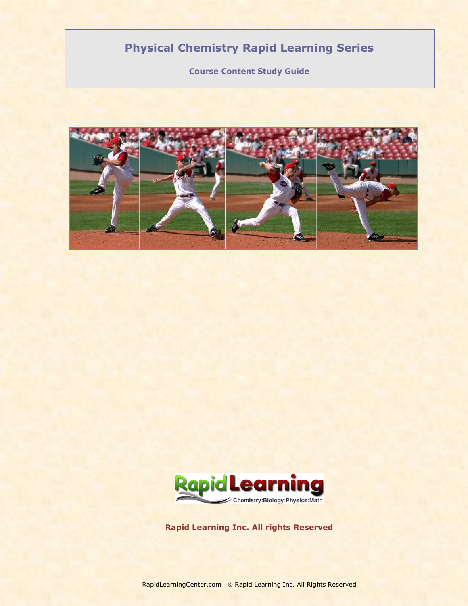# **Physical Chemistry Rapid Learning Series**

**Course Content Study Guide**





**Rapid Learning Inc. All rights Reserved**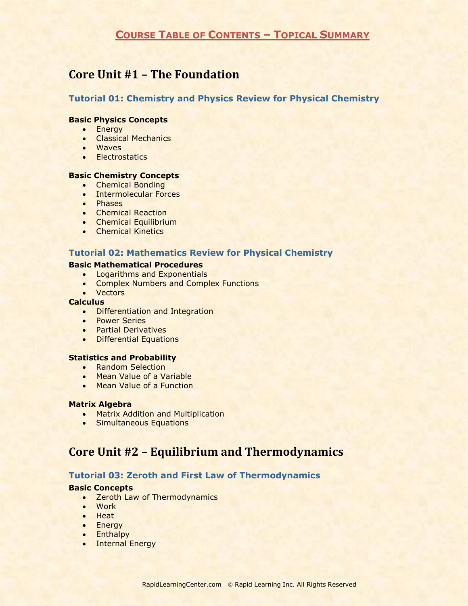# **COURSE TABLE OF CONTENTS – TOPICAL SUMMARY**

# **Core Unit #1 – The Foundation**

# **Tutorial 01: Chemistry and Physics Review for Physical Chemistry**

#### **Basic Physics Concepts**

- Energy
- **•** Classical Mechanics
- Waves
- **•** Electrostatics

#### **Basic Chemistry Concepts**

- **•** Chemical Bonding
- Intermolecular Forces
- Phases
- Chemical Reaction
- Chemical Equilibrium
- Chemical Kinetics

# **Tutorial 02: Mathematics Review for Physical Chemistry**

### **Basic Mathematical Procedures**

- **•** Logarithms and Exponentials
- **Complex Numbers and Complex Functions**
- Vectors

#### **Calculus**

- Differentiation and Integration
- Power Series
- **•** Partial Derivatives
- **•** Differential Equations

# **Statistics and Probability**

- Random Selection
- Mean Value of a Variable
- Mean Value of a Function

#### **Matrix Algebra**

- Matrix Addition and Multiplication
- **•** Simultaneous Equations

# **Core Unit #2 – Equilibrium and Thermodynamics**

# **Tutorial 03: Zeroth and First Law of Thermodynamics**

## **Basic Concepts**

- Zeroth Law of Thermodynamics
- Work
- Heat
- Energy
- Enthalpy
- Internal Energy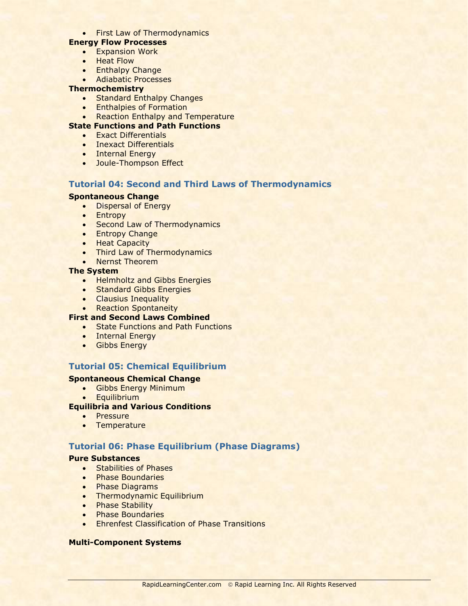• First Law of Thermodynamics

# **Energy Flow Processes**

- **•** Expansion Work
- Heat Flow
- Enthalpy Change
- Adiabatic Processes

## **Thermochemistry**

- Standard Enthalpy Changes
- **•** Enthalpies of Formation
- Reaction Enthalpy and Temperature

## **State Functions and Path Functions**

- **•** Exact Differentials
- Inexact Differentials
- Internal Energy
- Joule-Thompson Effect

# **Tutorial 04: Second and Third Laws of Thermodynamics**

#### **Spontaneous Change**

- Dispersal of Energy
- Entropy
- Second Law of Thermodynamics
- Entropy Change
- Heat Capacity
- Third Law of Thermodynamics
- Nernst Theorem

#### **The System**

- **Helmholtz and Gibbs Energies**
- Standard Gibbs Energies
- Clausius Inequality
- Reaction Spontaneity

## **First and Second Laws Combined**

- State Functions and Path Functions
- Internal Energy
- **•** Gibbs Energy

# **Tutorial 05: Chemical Equilibrium**

# **Spontaneous Chemical Change**

- Gibbs Energy Minimum
- Equilibrium

# **Equilibria and Various Conditions**

- Pressure
- Temperature

# **Tutorial 06: Phase Equilibrium (Phase Diagrams)**

#### **Pure Substances**

- **•** Stabilities of Phases
- Phase Boundaries
- Phase Diagrams
- Thermodynamic Equilibrium
- Phase Stability
- **•** Phase Boundaries
- **•** Ehrenfest Classification of Phase Transitions

## **Multi-Component Systems**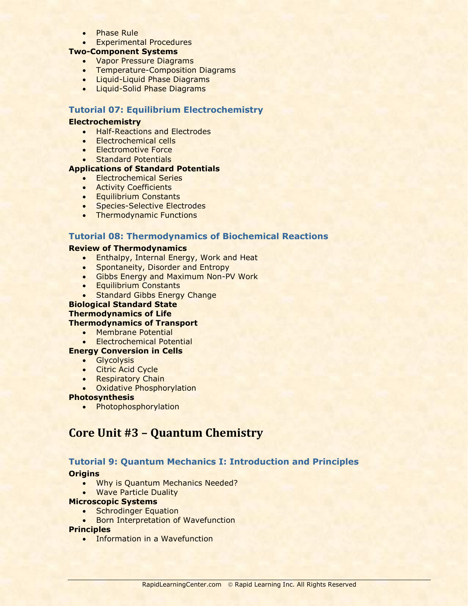- Phase Rule
- **Experimental Procedures**

# **Two-Component Systems**

- Vapor Pressure Diagrams
- **Temperature-Composition Diagrams**
- Liquid-Liquid Phase Diagrams
- **.** Liquid-Solid Phase Diagrams

# **Tutorial 07: Equilibrium Electrochemistry**

#### **Electrochemistry**

- Half-Reactions and Electrodes
- Electrochemical cells
- **Electromotive Force**
- Standard Potentials

## **Applications of Standard Potentials**

- Electrochemical Series
- **•** Activity Coefficients
- **•** Equilibrium Constants
- **Species-Selective Electrodes**
- Thermodynamic Functions

### **Tutorial 08: Thermodynamics of Biochemical Reactions**

## **Review of Thermodynamics**

- **•** Enthalpy, Internal Energy, Work and Heat
- Spontaneity, Disorder and Entropy
- **Gibbs Energy and Maximum Non-PV Work**
- **•** Equilibrium Constants
- Standard Gibbs Energy Change

# **Biological Standard State**

#### **Thermodynamics of Life**

## **Thermodynamics of Transport**

- Membrane Potential
- Electrochemical Potential

# **Energy Conversion in Cells**

- Glycolysis
- Citric Acid Cycle
- Respiratory Chain
- Oxidative Phosphorylation

#### **Photosynthesis**

• Photophosphorylation

# **Core Unit #3 – Quantum Chemistry**

## **Tutorial 9: Quantum Mechanics I: Introduction and Principles**

# **Origins**

- Why is Quantum Mechanics Needed?
- **.** Wave Particle Duality

#### **Microscopic Systems**

- Schrodinger Equation
- **Born Interpretation of Wavefunction**

#### **Principles**

• Information in a Wavefunction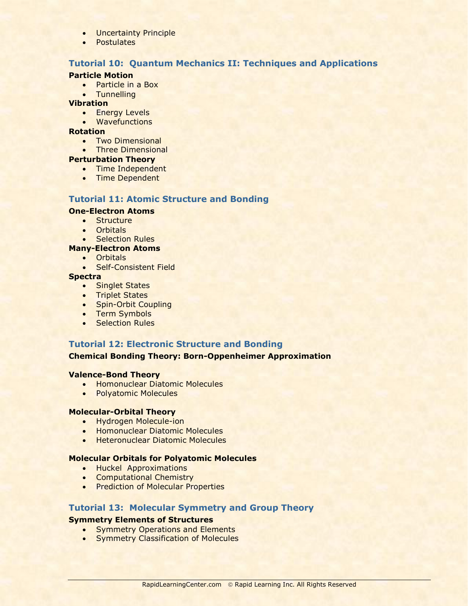- **•** Uncertainty Principle
- Postulates

# **Tutorial 10: Quantum Mechanics II: Techniques and Applications**

#### **Particle Motion**

- Particle in a Box
- **•** Tunnelling

#### **Vibration**

- **•** Energy Levels
- Wavefunctions

# **Rotation**

- Two Dimensional
- Three Dimensional

### **Perturbation Theory**

- Time Independent
- Time Dependent

# **Tutorial 11: Atomic Structure and Bonding**

# **One-Electron Atoms**

- **•** Structure
- **Orbitals**
- Selection Rules

# **Many-Electron Atoms**

- Orbitals
- **Self-Consistent Field**

## **Spectra**

- Singlet States
- Triplet States
- Spin-Orbit Coupling
- Term Symbols
- Selection Rules

## **Tutorial 12: Electronic Structure and Bonding**

**Chemical Bonding Theory: Born-Oppenheimer Approximation**

#### **Valence-Bond Theory**

- **Homonuclear Diatomic Molecules**
- Polyatomic Molecules

#### **Molecular-Orbital Theory**

- Hydrogen Molecule-ion
- **Homonuclear Diatomic Molecules**
- **Heteronuclear Diatomic Molecules**

## **Molecular Orbitals for Polyatomic Molecules**

- **•** Huckel Approximations
- **Computational Chemistry**
- Prediction of Molecular Properties

## **Tutorial 13: Molecular Symmetry and Group Theory**

## **Symmetry Elements of Structures**

- Symmetry Operations and Elements
- Symmetry Classification of Molecules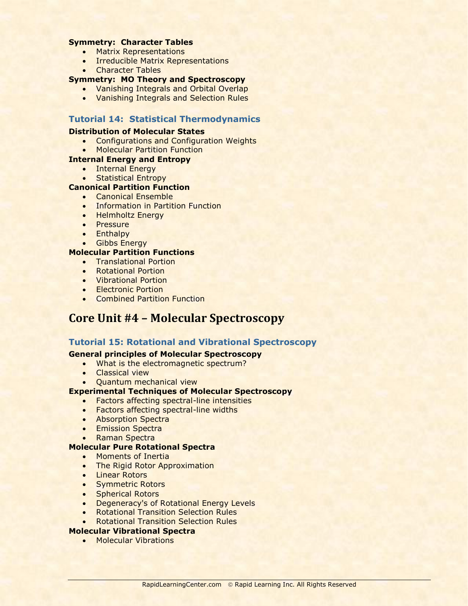### **Symmetry: Character Tables**

- Matrix Representations
- **Irreducible Matrix Representations**
- Character Tables

# **Symmetry: MO Theory and Spectroscopy**

- **•** Vanishing Integrals and Orbital Overlap
- Vanishing Integrals and Selection Rules

# **Tutorial 14: Statistical Thermodynamics**

#### **Distribution of Molecular States**

Configurations and Configuration Weights

# Molecular Partition Function

## **Internal Energy and Entropy**

- Internal Energy
- **Statistical Entropy**

## **Canonical Partition Function**

- **Canonical Ensemble**
- **Information in Partition Function**
- Helmholtz Energy
- Pressure
- Enthalpy
- Gibbs Energy

### **Molecular Partition Functions**

- **•** Translational Portion
- Rotational Portion
- Vibrational Portion
- **Electronic Portion**
- **•** Combined Partition Function

# **Core Unit #4 – Molecular Spectroscopy**

## **Tutorial 15: Rotational and Vibrational Spectroscopy**

## **General principles of Molecular Spectroscopy**

- What is the electromagnetic spectrum?
- Classical view
- Quantum mechanical view

## **Experimental Techniques of Molecular Spectroscopy**

- Factors affecting spectral-line intensities
- Factors affecting spectral-line widths
- Absorption Spectra
- Emission Spectra
- Raman Spectra

## **Molecular Pure Rotational Spectra**

- Moments of Inertia
- The Rigid Rotor Approximation
- **•** Linear Rotors
- Symmetric Rotors
- Spherical Rotors
- **Degeneracy's of Rotational Energy Levels**
- **Rotational Transition Selection Rules**
- **Rotational Transition Selection Rules**

## **Molecular Vibrational Spectra**

• Molecular Vibrations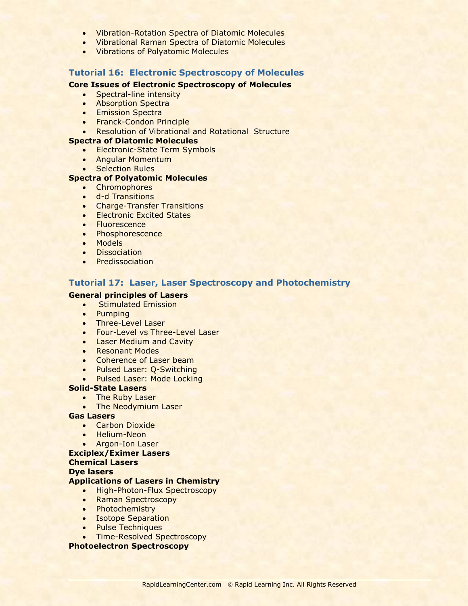- Vibration-Rotation Spectra of Diatomic Molecules
- Vibrational Raman Spectra of Diatomic Molecules
- Vibrations of Polyatomic Molecules

## **Tutorial 16: Electronic Spectroscopy of Molecules**

## **Core Issues of Electronic Spectroscopy of Molecules**

- Spectral-line intensity
- Absorption Spectra
- **Emission Spectra**
- Franck-Condon Principle
- Resolution of Vibrational and Rotational Structure

# **Spectra of Diatomic Molecules**

- Electronic-State Term Symbols
- Angular Momentum
- **•** Selection Rules

# **Spectra of Polyatomic Molecules**

- Chromophores
- d-d Transitions
- **•** Charge-Transfer Transitions
- **•** Electronic Excited States
- Fluorescence
- Phosphorescence
- Models
- **•** Dissociation
- Predissociation

# **Tutorial 17: Laser, Laser Spectroscopy and Photochemistry**

## **General principles of Lasers**

- **•** Stimulated Emission
- Pumping
- Three-Level Laser
- Four-Level vs Three-Level Laser
- **.** Laser Medium and Cavity
- Resonant Modes
- Coherence of Laser beam
- Pulsed Laser: Q-Switching
- Pulsed Laser: Mode Locking

## **Solid-State Lasers**

- The Ruby Laser
- The Neodymium Laser

### **Gas Lasers**

- **•** Carbon Dioxide
- Helium-Neon
- Argon-Ion Laser

#### **Exciplex/Eximer Lasers Chemical Lasers Dye lasers**

# **Applications of Lasers in Chemistry**

- High-Photon-Flux Spectroscopy
- Raman Spectroscopy
- Photochemistry
- Isotope Separation
- Pulse Techniques
- Time-Resolved Spectroscopy

#### **Photoelectron Spectroscopy**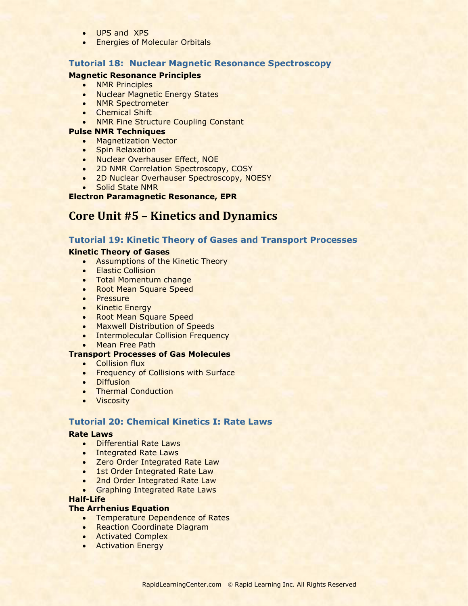- UPS and XPS
- **Energies of Molecular Orbitals**

# **Tutorial 18: Nuclear Magnetic Resonance Spectroscopy**

## **Magnetic Resonance Principles**

- NMR Principles
- Nuclear Magnetic Energy States
- NMR Spectrometer
- **•** Chemical Shift
- NMR Fine Structure Coupling Constant

#### **Pulse NMR Techniques**

- Magnetization Vector
- Spin Relaxation
- Nuclear Overhauser Effect, NOE
- 2D NMR Correlation Spectroscopy, COSY
- 2D Nuclear Overhauser Spectroscopy, NOESY
- Solid State NMR

#### **Electron Paramagnetic Resonance, EPR**

# **Core Unit #5 – Kinetics and Dynamics**

# **Tutorial 19: Kinetic Theory of Gases and Transport Processes**

## **Kinetic Theory of Gases**

- Assumptions of the Kinetic Theory
- **Elastic Collision**
- Total Momentum change
- Root Mean Square Speed
- Pressure
- Kinetic Energy
- Root Mean Square Speed
- Maxwell Distribution of Speeds
- Intermolecular Collision Frequency
- Mean Free Path

## **Transport Processes of Gas Molecules**

- **•** Collision flux
- **Frequency of Collisions with Surface**
- **•** Diffusion
- Thermal Conduction
- **•** Viscosity

# **Tutorial 20: Chemical Kinetics I: Rate Laws**

### **Rate Laws**

- Differential Rate Laws
- **.** Integrated Rate Laws
- Zero Order Integrated Rate Law
- 1st Order Integrated Rate Law
- 2nd Order Integrated Rate Law
- **Graphing Integrated Rate Laws**

#### **Half-Life**

#### **The Arrhenius Equation**

- Temperature Dependence of Rates
- **Reaction Coordinate Diagram**
- **Activated Complex**
- Activation Energy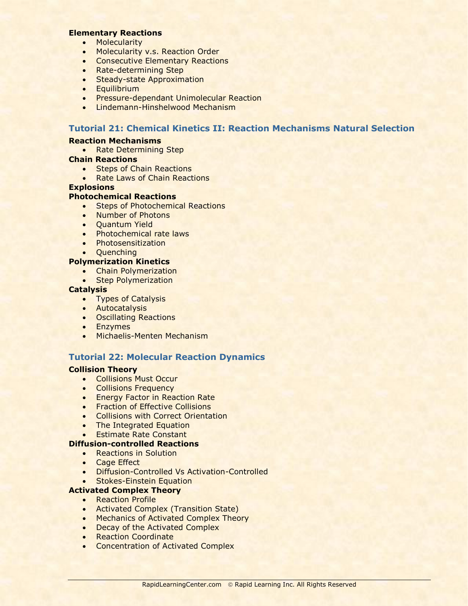#### **Elementary Reactions**

- Molecularity
- Molecularity v.s. Reaction Order
- **Consecutive Elementary Reactions**
- Rate-determining Step
- Steady-state Approximation
- Equilibrium
- **Pressure-dependant Unimolecular Reaction**
- Lindemann-Hinshelwood Mechanism

# **Tutorial 21: Chemical Kinetics II: Reaction Mechanisms Natural Selection**

#### **Reaction Mechanisms**

• Rate Determining Step

#### **Chain Reactions**

- Steps of Chain Reactions
- Rate Laws of Chain Reactions

#### **Explosions**

#### **Photochemical Reactions**

- Steps of Photochemical Reactions
- Number of Photons
- Ouantum Yield
- Photochemical rate laws
- Photosensitization
- Quenching

#### **Polymerization Kinetics**

- **•** Chain Polymerization
- Step Polymerization

#### **Catalysis**

- Types of Catalysis
- Autocatalysis
- **•** Oscillating Reactions
- Enzymes
- **•** Michaelis-Menten Mechanism

# **Tutorial 22: Molecular Reaction Dynamics**

#### **Collision Theory**

- Collisions Must Occur
- **•** Collisions Frequency
- **Energy Factor in Reaction Rate**
- **•** Fraction of Effective Collisions
- **•** Collisions with Correct Orientation
- The Integrated Equation
- **Estimate Rate Constant**

## **Diffusion-controlled Reactions**

- Reactions in Solution
- Cage Effect
- **•** Diffusion-Controlled Vs Activation-Controlled
- **Stokes-Einstein Equation**

# **Activated Complex Theory**

- Reaction Profile
- **Activated Complex (Transition State)**
- Mechanics of Activated Complex Theory
- Decay of the Activated Complex
- Reaction Coordinate
- Concentration of Activated Complex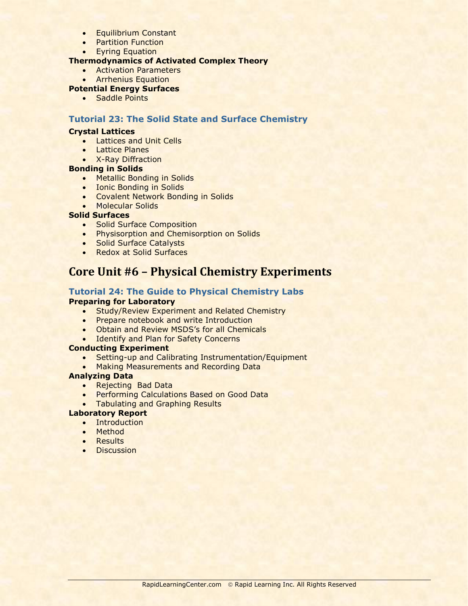- **•** Equilibrium Constant
- Partition Function
- **•** Eyring Equation

## **Thermodynamics of Activated Complex Theory**

- Activation Parameters
- **Arrhenius Equation**

## **Potential Energy Surfaces**

• Saddle Points

## **Tutorial 23: The Solid State and Surface Chemistry**

#### **Crystal Lattices**

- **•** Lattices and Unit Cells
- Lattice Planes
- X-Ray Diffraction

# **Bonding in Solids**

- Metallic Bonding in Solids
- **.** Ionic Bonding in Solids
- Covalent Network Bonding in Solids
- **Molecular Solids**

#### **Solid Surfaces**

- Solid Surface Composition
- **Physisorption and Chemisorption on Solids**
- Solid Surface Catalysts
- Redox at Solid Surfaces

# **Core Unit #6 – Physical Chemistry Experiments**

# **Tutorial 24: The Guide to Physical Chemistry Labs**

### **Preparing for Laboratory**

- **Study/Review Experiment and Related Chemistry**
- Prepare notebook and write Introduction
- Obtain and Review MSDS's for all Chemicals
- Identify and Plan for Safety Concerns

#### **Conducting Experiment**

- Setting-up and Calibrating Instrumentation/Equipment
- Making Measurements and Recording Data

#### **Analyzing Data**

- Rejecting Bad Data
- Performing Calculations Based on Good Data
- **Tabulating and Graphing Results**

## **Laboratory Report**

- Introduction
- Method
- Results
- **•** Discussion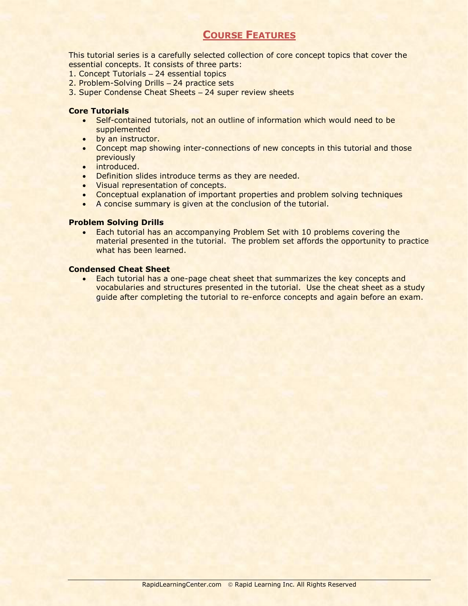# **COURSE FEATURES**

This tutorial series is a carefully selected collection of core concept topics that cover the essential concepts. It consists of three parts:

- 1. Concept Tutorials 24 essential topics
- 2. Problem-Solving Drills 24 practice sets
- 3. Super Condense Cheat Sheets 24 super review sheets

#### **Core Tutorials**

- Self-contained tutorials, not an outline of information which would need to be supplemented
- by an instructor.
- Concept map showing inter-connections of new concepts in this tutorial and those previously
- introduced.
- Definition slides introduce terms as they are needed.
- Visual representation of concepts.
- Conceptual explanation of important properties and problem solving techniques
- A concise summary is given at the conclusion of the tutorial.

## **Problem Solving Drills**

 Each tutorial has an accompanying Problem Set with 10 problems covering the material presented in the tutorial. The problem set affords the opportunity to practice what has been learned.

### **Condensed Cheat Sheet**

 Each tutorial has a one-page cheat sheet that summarizes the key concepts and vocabularies and structures presented in the tutorial. Use the cheat sheet as a study guide after completing the tutorial to re-enforce concepts and again before an exam.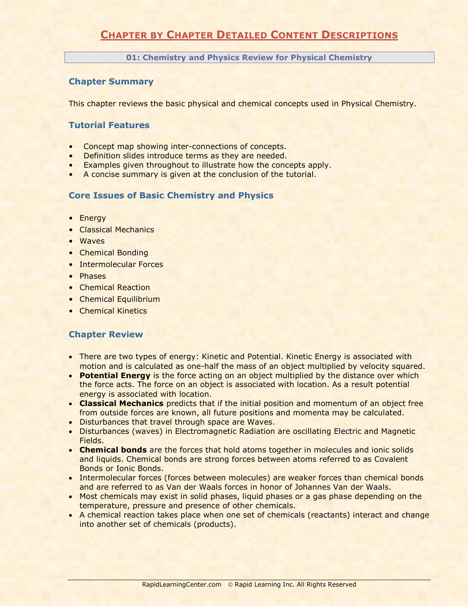# **CHAPTER BY CHAPTER DETAILED CONTENT DESCRIPTIONS**

**01: Chemistry and Physics Review for Physical Chemistry**

# **Chapter Summary**

This chapter reviews the basic physical and chemical concepts used in Physical Chemistry.

## **Tutorial Features**

- Concept map showing inter-connections of concepts.
- Definition slides introduce terms as they are needed.
- Examples given throughout to illustrate how the concepts apply.
- A concise summary is given at the conclusion of the tutorial.

## **Core Issues of Basic Chemistry and Physics**

- Energy
- Classical Mechanics
- Waves
- Chemical Bonding
- Intermolecular Forces
- Phases
- Chemical Reaction
- Chemical Equilibrium
- Chemical Kinetics

- There are two types of energy: Kinetic and Potential. Kinetic Energy is associated with motion and is calculated as one-half the mass of an object multiplied by velocity squared.
- **Potential Energy** is the force acting on an object multiplied by the distance over which the force acts. The force on an object is associated with location. As a result potential energy is associated with location.
- **Classical Mechanics** predicts that if the initial position and momentum of an object free from outside forces are known, all future positions and momenta may be calculated.
- **.** Disturbances that travel through space are Waves.
- Disturbances (waves) in Electromagnetic Radiation are oscillating Electric and Magnetic Fields.
- **Chemical bonds** are the forces that hold atoms together in molecules and ionic solids and liquids. Chemical bonds are strong forces between atoms referred to as Covalent Bonds or Ionic Bonds.
- Intermolecular forces (forces between molecules) are weaker forces than chemical bonds and are referred to as Van der Waals forces in honor of Johannes Van der Waals.
- Most chemicals may exist in solid phases, liquid phases or a gas phase depending on the temperature, pressure and presence of other chemicals.
- A chemical reaction takes place when one set of chemicals (reactants) interact and change into another set of chemicals (products).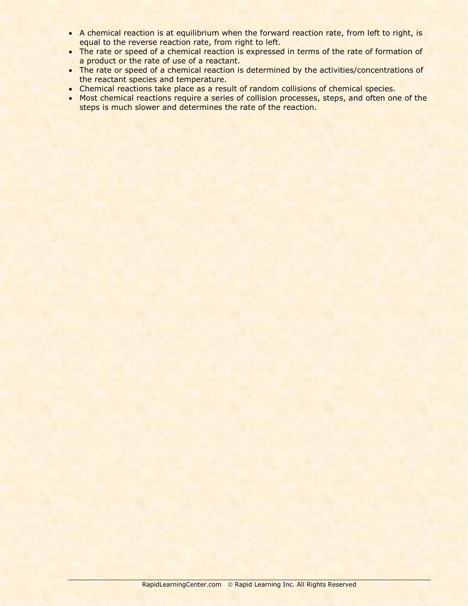- A chemical reaction is at equilibrium when the forward reaction rate, from left to right, is equal to the reverse reaction rate, from right to left.
- The rate or speed of a chemical reaction is expressed in terms of the rate of formation of a product or the rate of use of a reactant.
- The rate or speed of a chemical reaction is determined by the activities/concentrations of the reactant species and temperature.
- Chemical reactions take place as a result of random collisions of chemical species.
- Most chemical reactions require a series of collision processes, steps, and often one of the steps is much slower and determines the rate of the reaction.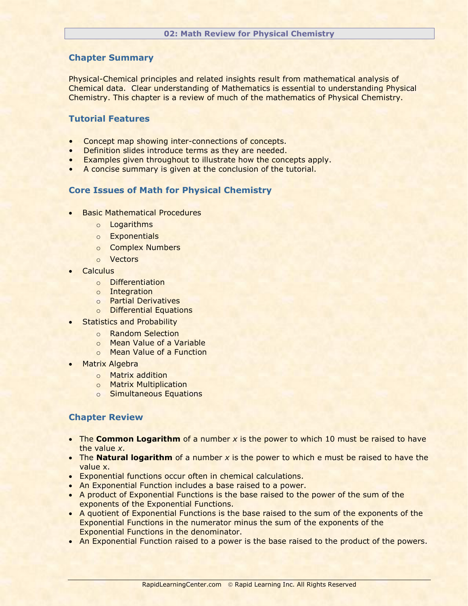Physical-Chemical principles and related insights result from mathematical analysis of Chemical data. Clear understanding of Mathematics is essential to understanding Physical Chemistry. This chapter is a review of much of the mathematics of Physical Chemistry.

# **Tutorial Features**

- Concept map showing inter-connections of concepts.
- Definition slides introduce terms as they are needed.
- Examples given throughout to illustrate how the concepts apply.
- A concise summary is given at the conclusion of the tutorial.

#### **Core Issues of Math for Physical Chemistry**

- **Basic Mathematical Procedures** 
	- o Logarithms
	- o Exponentials
	- o Complex Numbers
	- o Vectors
- **Calculus** 
	- o Differentiation
	- o Integration
	- o Partial Derivatives
	- o Differential Equations
- **•** Statistics and Probability
	- o Random Selection
	- o Mean Value of a Variable
	- o Mean Value of a Function
- Matrix Algebra
	- o Matrix addition
	- o Matrix Multiplication
	- o Simultaneous Equations

- The **Common Logarithm** of a number x is the power to which 10 must be raised to have the value *x*.
- The **Natural logarithm** of a number *x* is the power to which e must be raised to have the value x.
- Exponential functions occur often in chemical calculations.
- An Exponential Function includes a base raised to a power.
- A product of Exponential Functions is the base raised to the power of the sum of the exponents of the Exponential Functions.
- A quotient of Exponential Functions is the base raised to the sum of the exponents of the Exponential Functions in the numerator minus the sum of the exponents of the Exponential Functions in the denominator.
- An Exponential Function raised to a power is the base raised to the product of the powers.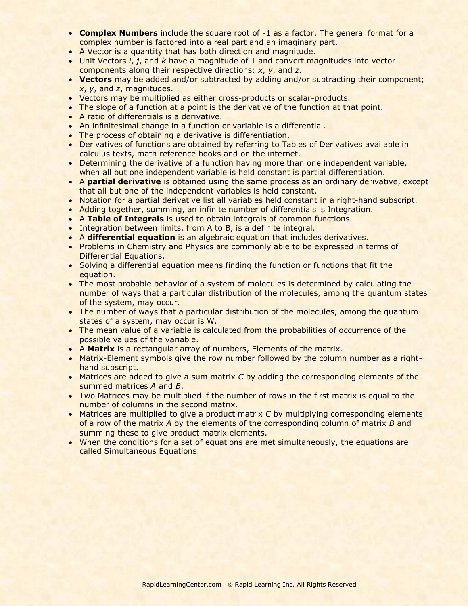- **Complex Numbers** include the square root of -1 as a factor. The general format for a complex number is factored into a real part and an imaginary part.
- A Vector is a quantity that has both direction and magnitude.
- Unit Vectors *i*, *j*, and *k* have a magnitude of 1 and convert magnitudes into vector components along their respective directions: *x*, *y*, and *z*.
- **Vectors** may be added and/or subtracted by adding and/or subtracting their component; *x*, *y*, and *z*, magnitudes.
- Vectors may be multiplied as either cross-products or scalar-products.
- The slope of a function at a point is the derivative of the function at that point.
- A ratio of differentials is a derivative.
- An infinitesimal change in a function or variable is a differential.
- The process of obtaining a derivative is differentiation.
- Derivatives of functions are obtained by referring to Tables of Derivatives available in calculus texts, math reference books and on the internet.
- Determining the derivative of a function having more than one independent variable, when all but one independent variable is held constant is partial differentiation.
- A **partial derivative** is obtained using the same process as an ordinary derivative, except that all but one of the independent variables is held constant.
- Notation for a partial derivative list all variables held constant in a right-hand subscript.
- Adding together, summing, an infinite number of differentials is Integration.
- A **Table of Integrals** is used to obtain integrals of common functions.
- Integration between limits, from A to B, is a definite integral.
- A **differential equation** is an algebraic equation that includes derivatives.
- Problems in Chemistry and Physics are commonly able to be expressed in terms of Differential Equations.
- Solving a differential equation means finding the function or functions that fit the equation.
- The most probable behavior of a system of molecules is determined by calculating the number of ways that a particular distribution of the molecules, among the quantum states of the system, may occur.
- The number of ways that a particular distribution of the molecules, among the quantum states of a system, may occur is W.
- The mean value of a variable is calculated from the probabilities of occurrence of the possible values of the variable.
- A **Matrix** is a rectangular array of numbers, Elements of the matrix.
- Matrix-Element symbols give the row number followed by the column number as a righthand subscript.
- Matrices are added to give a sum matrix *C* by adding the corresponding elements of the summed matrices *A* and *B*.
- Two Matrices may be multiplied if the number of rows in the first matrix is equal to the number of columns in the second matrix.
- Matrices are multiplied to give a product matrix *C* by multiplying corresponding elements of a row of the matrix *A* by the elements of the corresponding column of matrix *B* and summing these to give product matrix elements.
- When the conditions for a set of equations are met simultaneously, the equations are called Simultaneous Equations.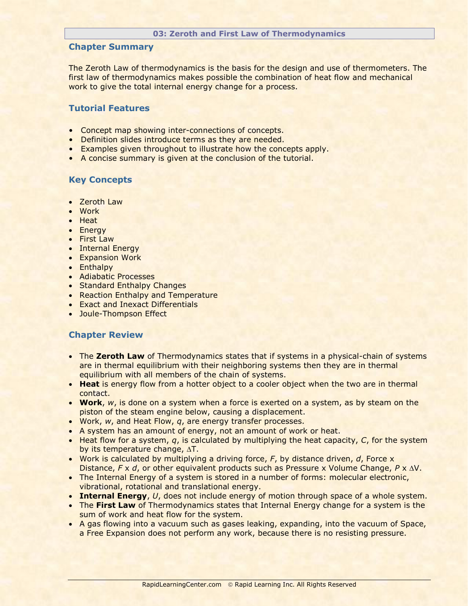#### **03: Zeroth and First Law of Thermodynamics**

## **Chapter Summary**

The Zeroth Law of thermodynamics is the basis for the design and use of thermometers. The first law of thermodynamics makes possible the combination of heat flow and mechanical work to give the total internal energy change for a process.

# **Tutorial Features**

- Concept map showing inter-connections of concepts.
- Definition slides introduce terms as they are needed.
- Examples given throughout to illustrate how the concepts apply.
- A concise summary is given at the conclusion of the tutorial.

# **Key Concepts**

- Zeroth Law
- Work
- $H$ eat
- Energy
- First Law
- Internal Energy
- **Expansion Work**
- Enthalpy
- Adiabatic Processes
- Standard Enthalpy Changes
- Reaction Enthalpy and Temperature
- Exact and Inexact Differentials
- Joule-Thompson Effect

- **The Zeroth Law** of Thermodynamics states that if systems in a physical-chain of systems are in thermal equilibrium with their neighboring systems then they are in thermal equilibrium with all members of the chain of systems.
- **Heat** is energy flow from a hotter object to a cooler object when the two are in thermal contact.
- **Work**, *w*, is done on a system when a force is exerted on a system, as by steam on the piston of the steam engine below, causing a displacement.
- Work, *w*, and Heat Flow, *q*, are energy transfer processes.
- A system has an amount of energy, not an amount of work or heat.
- Heat flow for a system, *q*, is calculated by multiplying the heat capacity, *C*, for the system by its temperature change,  $\Delta T$ .
- Work is calculated by multiplying a driving force, *F*, by distance driven, *d*, Force x Distance, *F* x *d*, or other equivalent products such as Pressure x Volume Change, *P* x V.
- The Internal Energy of a system is stored in a number of forms: molecular electronic, vibrational, rotational and translational energy.
- **Internal Energy**, *U*, does not include energy of motion through space of a whole system.
- **The First Law of Thermodynamics states that Internal Energy change for a system is the** sum of work and heat flow for the system.
- A gas flowing into a vacuum such as gases leaking, expanding, into the vacuum of Space, a Free Expansion does not perform any work, because there is no resisting pressure.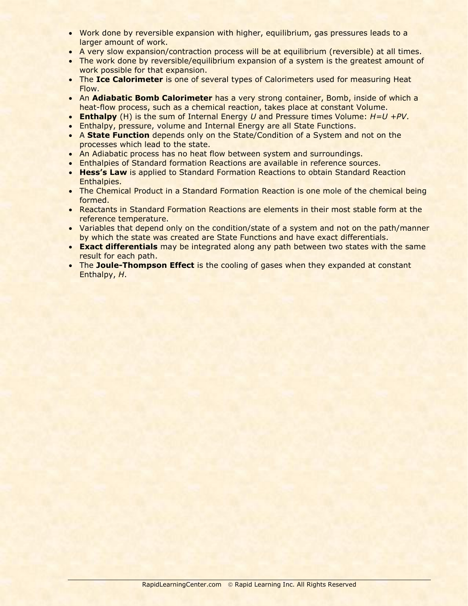- Work done by reversible expansion with higher, equilibrium, gas pressures leads to a larger amount of work.
- A very slow expansion/contraction process will be at equilibrium (reversible) at all times.
- The work done by reversible/equilibrium expansion of a system is the greatest amount of work possible for that expansion.
- The **Ice Calorimeter** is one of several types of Calorimeters used for measuring Heat Flow.
- An **Adiabatic Bomb Calorimeter** has a very strong container, Bomb, inside of which a heat-flow process, such as a chemical reaction, takes place at constant Volume.
- **Enthalpy** (H) is the sum of Internal Energy *U* and Pressure times Volume: *H=U +PV*.
- Enthalpy, pressure, volume and Internal Energy are all State Functions.
- A **State Function** depends only on the State/Condition of a System and not on the processes which lead to the state.
- An Adiabatic process has no heat flow between system and surroundings.
- Enthalpies of Standard formation Reactions are available in reference sources.
- **Hess's Law** is applied to Standard Formation Reactions to obtain Standard Reaction Enthalpies.
- The Chemical Product in a Standard Formation Reaction is one mole of the chemical being formed.
- Reactants in Standard Formation Reactions are elements in their most stable form at the reference temperature.
- Variables that depend only on the condition/state of a system and not on the path/manner by which the state was created are State Functions and have exact differentials.
- **Exact differentials** may be integrated along any path between two states with the same result for each path.
- The **Joule-Thompson Effect** is the cooling of gases when they expanded at constant Enthalpy, *H*.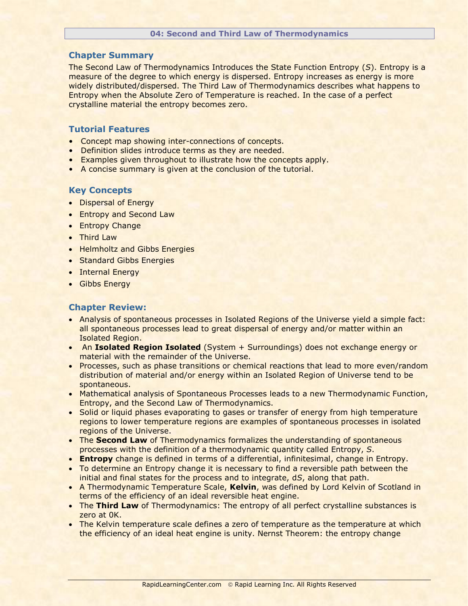#### **04: Second and Third Law of Thermodynamics**

## **Chapter Summary**

The Second Law of Thermodynamics Introduces the State Function Entropy (*S*). Entropy is a measure of the degree to which energy is dispersed. Entropy increases as energy is more widely distributed/dispersed. The Third Law of Thermodynamics describes what happens to Entropy when the Absolute Zero of Temperature is reached. In the case of a perfect crystalline material the entropy becomes zero.

## **Tutorial Features**

- Concept map showing inter-connections of concepts.
- Definition slides introduce terms as they are needed.
- Examples given throughout to illustrate how the concepts apply.
- A concise summary is given at the conclusion of the tutorial.

#### **Key Concepts**

- Dispersal of Energy
- **Entropy and Second Law**
- Entropy Change
- Third Law
- Helmholtz and Gibbs Energies
- Standard Gibbs Energies
- Internal Energy
- **•** Gibbs Energy

- Analysis of spontaneous processes in Isolated Regions of the Universe yield a simple fact: all spontaneous processes lead to great dispersal of energy and/or matter within an Isolated Region.
- An **Isolated Region Isolated** (System + Surroundings) does not exchange energy or material with the remainder of the Universe.
- Processes, such as phase transitions or chemical reactions that lead to more even/random distribution of material and/or energy within an Isolated Region of Universe tend to be spontaneous.
- Mathematical analysis of Spontaneous Processes leads to a new Thermodynamic Function, Entropy, and the Second Law of Thermodynamics.
- Solid or liquid phases evaporating to gases or transfer of energy from high temperature regions to lower temperature regions are examples of spontaneous processes in isolated regions of the Universe.
- **The Second Law** of Thermodynamics formalizes the understanding of spontaneous processes with the definition of a thermodynamic quantity called Entropy, *S*.
- **Entropy** change is defined in terms of a differential, infinitesimal, change in Entropy.
- To determine an Entropy change it is necessary to find a reversible path between the initial and final states for the process and to integrate, d*S*, along that path.
- A Thermodynamic Temperature Scale, **Kelvin**, was defined by Lord Kelvin of Scotland in terms of the efficiency of an ideal reversible heat engine.
- The Third Law of Thermodynamics: The entropy of all perfect crystalline substances is zero at 0K.
- The Kelvin temperature scale defines a zero of temperature as the temperature at which the efficiency of an ideal heat engine is unity. Nernst Theorem: the entropy change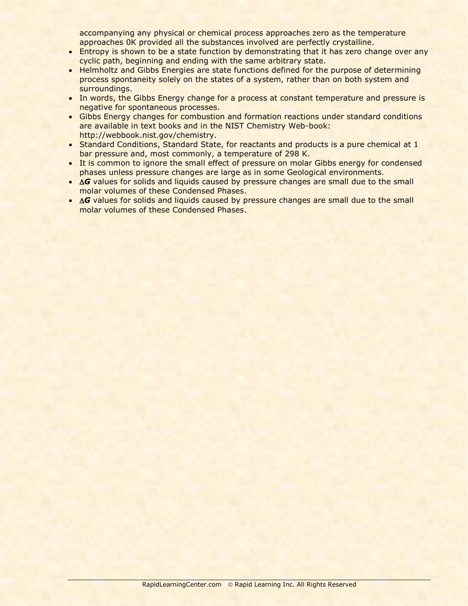accompanying any physical or chemical process approaches zero as the temperature approaches 0K provided all the substances involved are perfectly crystalline.

- Entropy is shown to be a state function by demonstrating that it has zero change over any cyclic path, beginning and ending with the same arbitrary state.
- Helmholtz and Gibbs Energies are state functions defined for the purpose of determining process spontaneity solely on the states of a system, rather than on both system and surroundings.
- In words, the Gibbs Energy change for a process at constant temperature and pressure is negative for spontaneous processes.
- Gibbs Energy changes for combustion and formation reactions under standard conditions are available in text books and in the NIST Chemistry Web-book: http://webbook.nist.gov/chemistry.
- Standard Conditions, Standard State, for reactants and products is a pure chemical at 1 bar pressure and, most commonly, a temperature of 298 K.
- It is common to ignore the small effect of pressure on molar Gibbs energy for condensed phases unless pressure changes are large as in some Geological environments.
- **G** values for solids and liquids caused by pressure changes are small due to the small molar volumes of these Condensed Phases.
- $\Delta G$  values for solids and liquids caused by pressure changes are small due to the small molar volumes of these Condensed Phases.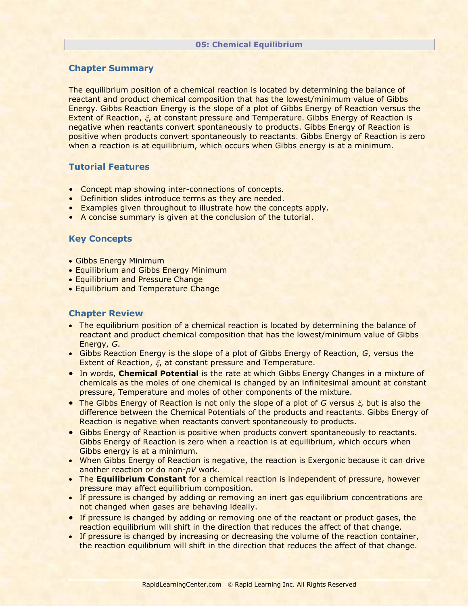The equilibrium position of a chemical reaction is located by determining the balance of reactant and product chemical composition that has the lowest/minimum value of Gibbs Energy. Gibbs Reaction Energy is the slope of a plot of Gibbs Energy of Reaction versus the Extent of Reaction,  $\xi$ , at constant pressure and Temperature. Gibbs Energy of Reaction is negative when reactants convert spontaneously to products. Gibbs Energy of Reaction is positive when products convert spontaneously to reactants. Gibbs Energy of Reaction is zero when a reaction is at equilibrium, which occurs when Gibbs energy is at a minimum.

# **Tutorial Features**

- Concept map showing inter-connections of concepts.
- Definition slides introduce terms as they are needed.
- Examples given throughout to illustrate how the concepts apply.
- A concise summary is given at the conclusion of the tutorial.

# **Key Concepts**

- Gibbs Energy Minimum
- Equilibrium and Gibbs Energy Minimum
- **Equilibrium and Pressure Change**
- **Equilibrium and Temperature Change**

- The equilibrium position of a chemical reaction is located by determining the balance of reactant and product chemical composition that has the lowest/minimum value of Gibbs Energy, *G*.
- Gibbs Reaction Energy is the slope of a plot of Gibbs Energy of Reaction, *G*, versus the Extent of Reaction,  $\xi$ , at constant pressure and Temperature.
- In words, **Chemical Potential** is the rate at which Gibbs Energy Changes in a mixture of chemicals as the moles of one chemical is changed by an infinitesimal amount at constant pressure, Temperature and moles of other components of the mixture.
- **The Gibbs Energy of Reaction is not only the slope of a plot of**  $G$  **versus**  $\xi$ **, but is also the** difference between the Chemical Potentials of the products and reactants. Gibbs Energy of Reaction is negative when reactants convert spontaneously to products.
- **Gibbs Energy of Reaction is positive when products convert spontaneously to reactants.** Gibbs Energy of Reaction is zero when a reaction is at equilibrium, which occurs when Gibbs energy is at a minimum.
- When Gibbs Energy of Reaction is negative, the reaction is Exergonic because it can drive another reaction or do non-*pV* work.
- The **Equilibrium Constant** for a chemical reaction is independent of pressure, however pressure may affect equilibrium composition.
- If pressure is changed by adding or removing an inert gas equilibrium concentrations are not changed when gases are behaving ideally.
- If pressure is changed by adding or removing one of the reactant or product gases, the reaction equilibrium will shift in the direction that reduces the affect of that change.
- If pressure is changed by increasing or decreasing the volume of the reaction container, the reaction equilibrium will shift in the direction that reduces the affect of that change.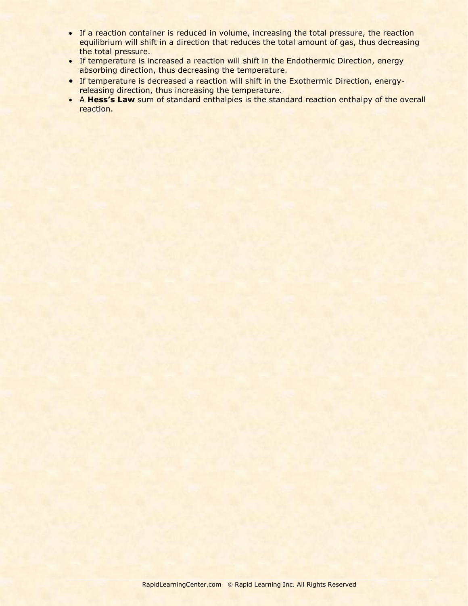- If a reaction container is reduced in volume, increasing the total pressure, the reaction equilibrium will shift in a direction that reduces the total amount of gas, thus decreasing the total pressure.
- If temperature is increased a reaction will shift in the Endothermic Direction, energy absorbing direction, thus decreasing the temperature.
- If temperature is decreased a reaction will shift in the Exothermic Direction, energyreleasing direction, thus increasing the temperature.
- A **Hess's Law** sum of standard enthalpies is the standard reaction enthalpy of the overall reaction.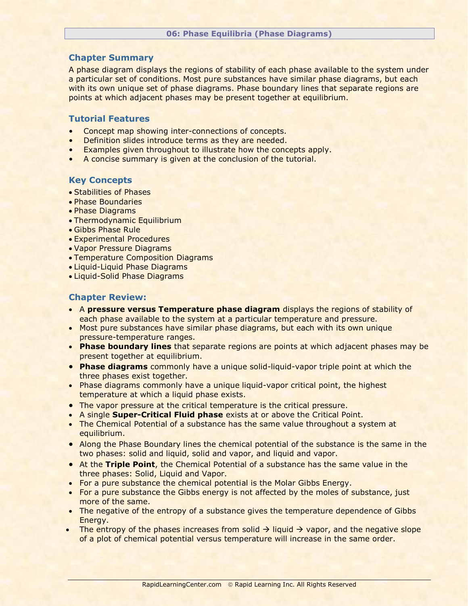## **06: Phase Equilibria (Phase Diagrams)**

# **Chapter Summary**

A phase diagram displays the regions of stability of each phase available to the system under a particular set of conditions. Most pure substances have similar phase diagrams, but each with its own unique set of phase diagrams. Phase boundary lines that separate regions are points at which adjacent phases may be present together at equilibrium.

# **Tutorial Features**

- Concept map showing inter-connections of concepts.
- Definition slides introduce terms as they are needed.
- Examples given throughout to illustrate how the concepts apply.
- A concise summary is given at the conclusion of the tutorial.

# **Key Concepts**

- Stabilities of Phases
- Phase Boundaries
- Phase Diagrams
- Thermodynamic Equilibrium
- Gibbs Phase Rule
- Experimental Procedures
- Vapor Pressure Diagrams
- Temperature Composition Diagrams
- Liquid-Liquid Phase Diagrams
- Liquid-Solid Phase Diagrams

- A **pressure versus Temperature phase diagram** displays the regions of stability of each phase available to the system at a particular temperature and pressure.
- Most pure substances have similar phase diagrams, but each with its own unique pressure-temperature ranges.
- **Phase boundary lines** that separate regions are points at which adjacent phases may be present together at equilibrium.
- **Phase diagrams** commonly have a unique solid-liquid-vapor triple point at which the three phases exist together.
- Phase diagrams commonly have a unique liquid-vapor critical point, the highest temperature at which a liquid phase exists.
- The vapor pressure at the critical temperature is the critical pressure.
- A single **Super-Critical Fluid phase** exists at or above the Critical Point.
- The Chemical Potential of a substance has the same value throughout a system at equilibrium.
- Along the Phase Boundary lines the chemical potential of the substance is the same in the two phases: solid and liquid, solid and vapor, and liquid and vapor.
- At the **Triple Point**, the Chemical Potential of a substance has the same value in the three phases: Solid, Liquid and Vapor.
- For a pure substance the chemical potential is the Molar Gibbs Energy.
- For a pure substance the Gibbs energy is not affected by the moles of substance, just more of the same.
- The negative of the entropy of a substance gives the temperature dependence of Gibbs Energy.
- The entropy of the phases increases from solid  $\rightarrow$  liquid  $\rightarrow$  vapor, and the negative slope of a plot of chemical potential versus temperature will increase in the same order.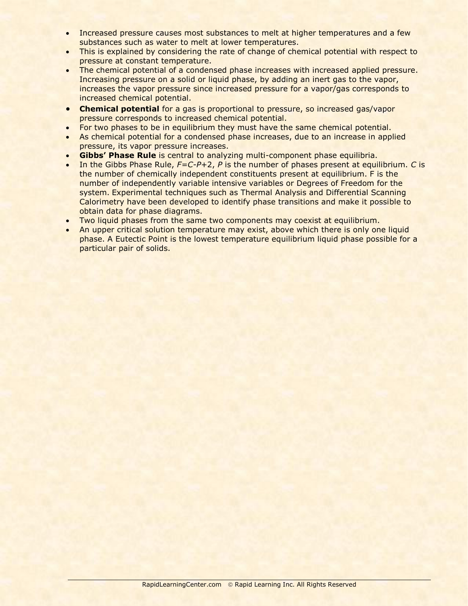- Increased pressure causes most substances to melt at higher temperatures and a few substances such as water to melt at lower temperatures.
- This is explained by considering the rate of change of chemical potential with respect to pressure at constant temperature.
- The chemical potential of a condensed phase increases with increased applied pressure. Increasing pressure on a solid or liquid phase, by adding an inert gas to the vapor, increases the vapor pressure since increased pressure for a vapor/gas corresponds to increased chemical potential.
- **Chemical potential** for a gas is proportional to pressure, so increased gas/vapor pressure corresponds to increased chemical potential.
- For two phases to be in equilibrium they must have the same chemical potential.
- As chemical potential for a condensed phase increases, due to an increase in applied pressure, its vapor pressure increases.
- **Gibbs' Phase Rule** is central to analyzing multi-component phase equilibria.
- In the Gibbs Phase Rule, *F=C-P*+2, *P* is the number of phases present at equilibrium. *C* is the number of chemically independent constituents present at equilibrium. F is the number of independently variable intensive variables or Degrees of Freedom for the system. Experimental techniques such as Thermal Analysis and Differential Scanning Calorimetry have been developed to identify phase transitions and make it possible to obtain data for phase diagrams.
- . Two liquid phases from the same two components may coexist at equilibrium.
- An upper critical solution temperature may exist, above which there is only one liquid phase. A Eutectic Point is the lowest temperature equilibrium liquid phase possible for a particular pair of solids.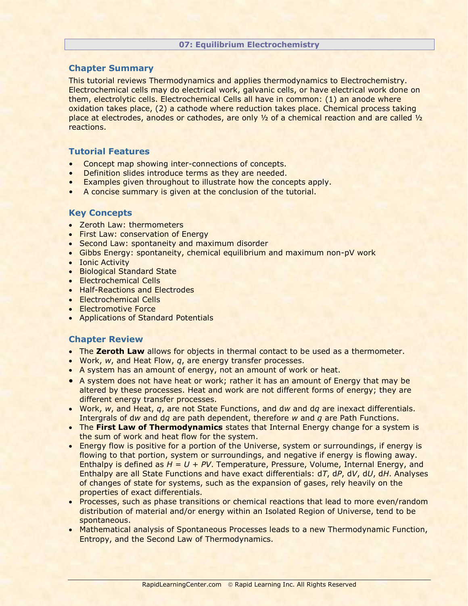#### **07: Equilibrium Electrochemistry**

# **Chapter Summary**

This tutorial reviews Thermodynamics and applies thermodynamics to Electrochemistry. Electrochemical cells may do electrical work, galvanic cells, or have electrical work done on them, electrolytic cells. Electrochemical Cells all have in common: (1) an anode where oxidation takes place, (2) a cathode where reduction takes place. Chemical process taking place at electrodes, anodes or cathodes, are only ½ of a chemical reaction and are called ½ reactions.

# **Tutorial Features**

- Concept map showing inter-connections of concepts.
- Definition slides introduce terms as they are needed.
- Examples given throughout to illustrate how the concepts apply.
- A concise summary is given at the conclusion of the tutorial.

# **Key Concepts**

- Zeroth Law: thermometers
- **First Law: conservation of Energy**
- Second Law: spontaneity and maximum disorder
- Gibbs Energy: spontaneity, chemical equilibrium and maximum non-pV work
- Ionic Activity
- Biological Standard State
- Electrochemical Cells
- Half-Reactions and Electrodes
- Electrochemical Cells
- Electromotive Force
- Applications of Standard Potentials

- The **Zeroth Law** allows for objects in thermal contact to be used as a thermometer.
- Work, *w*, and Heat Flow, *q*, are energy transfer processes.
- A system has an amount of energy, not an amount of work or heat.
- A system does not have heat or work; rather it has an amount of Energy that may be altered by these processes. Heat and work are not different forms of energy; they are different energy transfer processes.
- Work, *w*, and Heat, *q*, are not State Functions, and d*w* and d*q* are inexact differentials. Intergrals of d*w* and d*q* are path dependent, therefore *w* and *q* are Path Functions.
- The **First Law of Thermodynamics** states that Internal Energy change for a system is the sum of work and heat flow for the system.
- Energy flow is positive for a portion of the Universe, system or surroundings, if energy is flowing to that portion, system or surroundings, and negative if energy is flowing away. Enthalpy is defined as *H = U + PV*. Temperature, Pressure, Volume, Internal Energy, and Enthalpy are all State Functions and have exact differentials: d*T*, d*P*, d*V*, d*U*, d*H*. Analyses of changes of state for systems, such as the expansion of gases, rely heavily on the properties of exact differentials.
- Processes, such as phase transitions or chemical reactions that lead to more even/random distribution of material and/or energy within an Isolated Region of Universe, tend to be spontaneous.
- Mathematical analysis of Spontaneous Processes leads to a new Thermodynamic Function, Entropy, and the Second Law of Thermodynamics.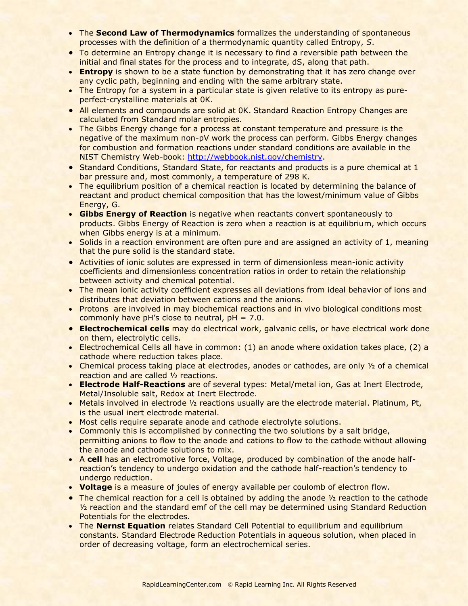- The **Second Law of Thermodynamics** formalizes the understanding of spontaneous processes with the definition of a thermodynamic quantity called Entropy, *S*.
- To determine an Entropy change it is necessary to find a reversible path between the initial and final states for the process and to integrate, dS, along that path.
- **Entropy** is shown to be a state function by demonstrating that it has zero change over any cyclic path, beginning and ending with the same arbitrary state.
- The Entropy for a system in a particular state is given relative to its entropy as pureperfect-crystalline materials at 0K.
- All elements and compounds are solid at 0K. Standard Reaction Entropy Changes are calculated from Standard molar entropies.
- The Gibbs Energy change for a process at constant temperature and pressure is the negative of the maximum non-pV work the process can perform. Gibbs Energy changes for combustion and formation reactions under standard conditions are available in the NIST Chemistry Web-book: [http://webbook.nist.gov/chemistry.](http://webbook.nist.gov/chemistry)
- Standard Conditions, Standard State, for reactants and products is a pure chemical at 1 bar pressure and, most commonly, a temperature of 298 K.
- The equilibrium position of a chemical reaction is located by determining the balance of reactant and product chemical composition that has the lowest/minimum value of Gibbs Energy, G.
- **Gibbs Energy of Reaction** is negative when reactants convert spontaneously to products. Gibbs Energy of Reaction is zero when a reaction is at equilibrium, which occurs when Gibbs energy is at a minimum.
- Solids in a reaction environment are often pure and are assigned an activity of 1, meaning that the pure solid is the standard state.
- Activities of ionic solutes are expressed in term of dimensionless mean-ionic activity coefficients and dimensionless concentration ratios in order to retain the relationship between activity and chemical potential.
- The mean ionic activity coefficient expresses all deviations from ideal behavior of ions and distributes that deviation between cations and the anions.
- Protons are involved in may biochemical reactions and in vivo biological conditions most commonly have pH's close to neutral, pH = 7.0.
- **Electrochemical cells** may do electrical work, galvanic cells, or have electrical work done on them, electrolytic cells.
- Electrochemical Cells all have in common: (1) an anode where oxidation takes place, (2) a cathode where reduction takes place.
- Chemical process taking place at electrodes, anodes or cathodes, are only 1/2 of a chemical reaction and are called ½ reactions.
- **Electrode Half-Reactions** are of several types: Metal/metal ion, Gas at Inert Electrode, Metal/Insoluble salt, Redox at Inert Electrode.
- Metals involved in electrode 1/2 reactions usually are the electrode material. Platinum, Pt, is the usual inert electrode material.
- Most cells require separate anode and cathode electrolyte solutions.
- Commonly this is accomplished by connecting the two solutions by a salt bridge, permitting anions to flow to the anode and cations to flow to the cathode without allowing the anode and cathode solutions to mix.
- A **cell** has an electromotive force, Voltage, produced by combination of the anode halfreaction's tendency to undergo oxidation and the cathode half-reaction's tendency to undergo reduction.
- **Voltage** is a measure of joules of energy available per coulomb of electron flow.
- The chemical reaction for a cell is obtained by adding the anode  $\frac{1}{2}$  reaction to the cathode ½ reaction and the standard emf of the cell may be determined using Standard Reduction Potentials for the electrodes.
- The **Nernst Equation** relates Standard Cell Potential to equilibrium and equilibrium constants. Standard Electrode Reduction Potentials in aqueous solution, when placed in order of decreasing voltage, form an electrochemical series.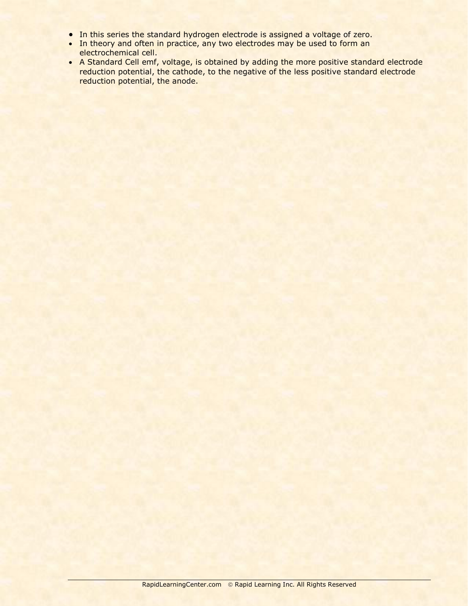- In this series the standard hydrogen electrode is assigned a voltage of zero.
- In theory and often in practice, any two electrodes may be used to form an electrochemical cell.
- A Standard Cell emf, voltage, is obtained by adding the more positive standard electrode reduction potential, the cathode, to the negative of the less positive standard electrode reduction potential, the anode.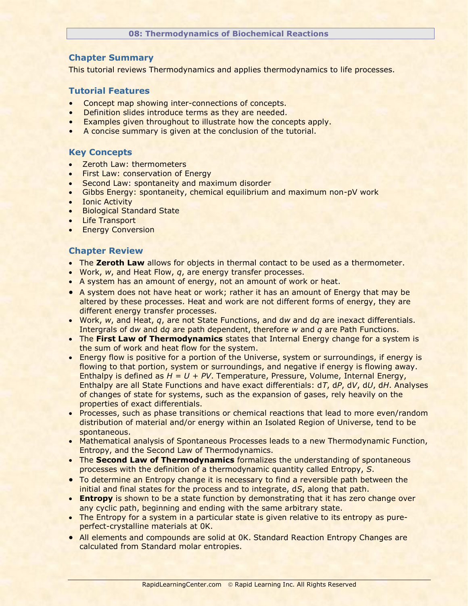### **08: Thermodynamics of Biochemical Reactions**

# **Chapter Summary**

This tutorial reviews Thermodynamics and applies thermodynamics to life processes.

# **Tutorial Features**

- Concept map showing inter-connections of concepts.
- Definition slides introduce terms as they are needed.
- Examples given throughout to illustrate how the concepts apply.
- A concise summary is given at the conclusion of the tutorial.

# **Key Concepts**

- Zeroth Law: thermometers
- First Law: conservation of Energy
- Second Law: spontaneity and maximum disorder
- Gibbs Energy: spontaneity, chemical equilibrium and maximum non-pV work
- Ionic Activity
- **•** Biological Standard State
- Life Transport
- **•** Energy Conversion

- **The Zeroth Law** allows for objects in thermal contact to be used as a thermometer.
- Work, *w*, and Heat Flow, *q*, are energy transfer processes.
- A system has an amount of energy, not an amount of work or heat.
- A system does not have heat or work; rather it has an amount of Energy that may be altered by these processes. Heat and work are not different forms of energy, they are different energy transfer processes.
- Work, *w*, and Heat, *q*, are not State Functions, and d*w* and d*q* are inexact differentials. Intergrals of d*w* and d*q* are path dependent, therefore *w* and *q* are Path Functions.
- The **First Law of Thermodynamics** states that Internal Energy change for a system is the sum of work and heat flow for the system.
- Energy flow is positive for a portion of the Universe, system or surroundings, if energy is flowing to that portion, system or surroundings, and negative if energy is flowing away. Enthalpy is defined as *H = U + PV*. Temperature, Pressure, Volume, Internal Energy, Enthalpy are all State Functions and have exact differentials: d*T*, d*P*, d*V*, d*U*, d*H*. Analyses of changes of state for systems, such as the expansion of gases, rely heavily on the properties of exact differentials.
- Processes, such as phase transitions or chemical reactions that lead to more even/random distribution of material and/or energy within an Isolated Region of Universe, tend to be spontaneous.
- Mathematical analysis of Spontaneous Processes leads to a new Thermodynamic Function, Entropy, and the Second Law of Thermodynamics.
- The **Second Law of Thermodynamics** formalizes the understanding of spontaneous processes with the definition of a thermodynamic quantity called Entropy, *S*.
- To determine an Entropy change it is necessary to find a reversible path between the initial and final states for the process and to integrate, d*S*, along that path.
- **Entropy** is shown to be a state function by demonstrating that it has zero change over any cyclic path, beginning and ending with the same arbitrary state.
- The Entropy for a system in a particular state is given relative to its entropy as pureperfect-crystalline materials at 0K.
- All elements and compounds are solid at OK. Standard Reaction Entropy Changes are calculated from Standard molar entropies.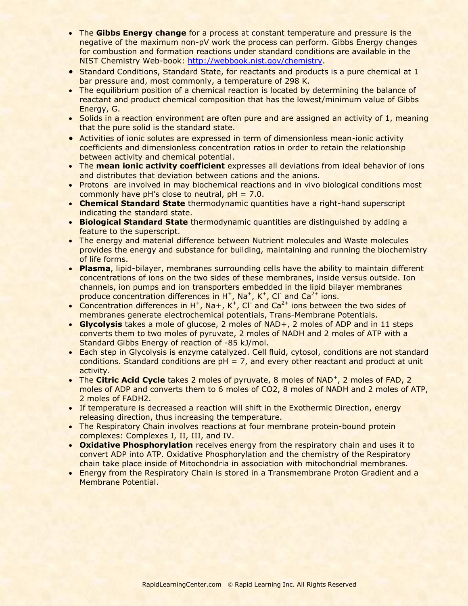- The **Gibbs Energy change** for a process at constant temperature and pressure is the negative of the maximum non-pV work the process can perform. Gibbs Energy changes for combustion and formation reactions under standard conditions are available in the NIST Chemistry Web-book: [http://webbook.nist.gov/chemistry.](http://webbook.nist.gov/chemistry)
- Standard Conditions, Standard State, for reactants and products is a pure chemical at 1 bar pressure and, most commonly, a temperature of 298 K.
- The equilibrium position of a chemical reaction is located by determining the balance of reactant and product chemical composition that has the lowest/minimum value of Gibbs Energy, G.
- Solids in a reaction environment are often pure and are assigned an activity of 1, meaning that the pure solid is the standard state.
- Activities of ionic solutes are expressed in term of dimensionless mean-ionic activity coefficients and dimensionless concentration ratios in order to retain the relationship between activity and chemical potential.
- The **mean ionic activity coefficient** expresses all deviations from ideal behavior of ions and distributes that deviation between cations and the anions.
- Protons are involved in may biochemical reactions and in vivo biological conditions most commonly have pH's close to neutral,  $pH = 7.0$ .
- **Chemical Standard State** thermodynamic quantities have a right-hand superscript indicating the standard state.
- **Biological Standard State** thermodynamic quantities are distinguished by adding a feature to the superscript.
- The energy and material difference between Nutrient molecules and Waste molecules provides the energy and substance for building, maintaining and running the biochemistry of life forms.
- **Plasma**, lipid-bilayer, membranes surrounding cells have the ability to maintain different concentrations of ions on the two sides of these membranes, inside versus outside. Ion channels, ion pumps and ion transporters embedded in the lipid bilayer membranes produce concentration differences in  $H^+$ , Na<sup>+</sup>, K<sup>+</sup>, Cl<sup>-</sup> and Ca<sup>2+</sup> ions.
- Concentration differences in  $H^+$ , Na+, K<sup>+</sup>, Cl<sup>-</sup> and Ca<sup>2+</sup> ions between the two sides of membranes generate electrochemical potentials, Trans-Membrane Potentials.
- **Glycolysis** takes a mole of glucose, 2 moles of NAD+, 2 moles of ADP and in 11 steps converts them to two moles of pyruvate, 2 moles of NADH and 2 moles of ATP with a Standard Gibbs Energy of reaction of -85 kJ/mol.
- Each step in Glycolysis is enzyme catalyzed. Cell fluid, cytosol, conditions are not standard conditions. Standard conditions are  $pH = 7$ , and every other reactant and product at unit activity.
- The **Citric Acid Cycle** takes 2 moles of pyruvate, 8 moles of NAD<sup>+</sup>, 2 moles of FAD, 2 moles of ADP and converts them to 6 moles of CO2, 8 moles of NADH and 2 moles of ATP, 2 moles of FADH2.
- If temperature is decreased a reaction will shift in the Exothermic Direction, energy releasing direction, thus increasing the temperature.
- The Respiratory Chain involves reactions at four membrane protein-bound protein complexes: Complexes I, II, III, and IV.
- **Oxidative Phosphorylation** receives energy from the respiratory chain and uses it to convert ADP into ATP. Oxidative Phosphorylation and the chemistry of the Respiratory chain take place inside of Mitochondria in association with mitochondrial membranes.
- Energy from the Respiratory Chain is stored in a Transmembrane Proton Gradient and a Membrane Potential.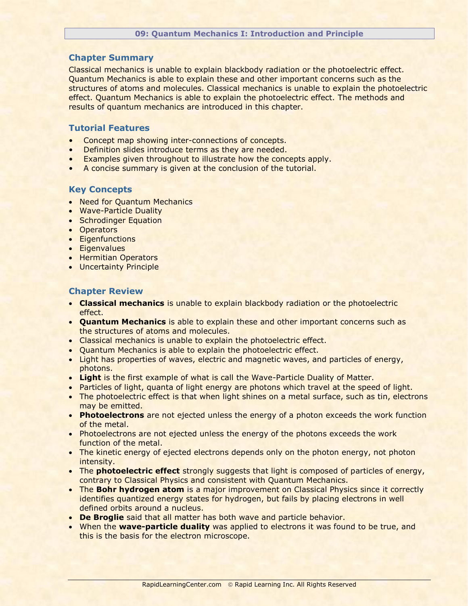#### **09: Quantum Mechanics I: Introduction and Principle**

## **Chapter Summary**

Classical mechanics is unable to explain blackbody radiation or the photoelectric effect. Quantum Mechanics is able to explain these and other important concerns such as the structures of atoms and molecules. Classical mechanics is unable to explain the photoelectric effect. Quantum Mechanics is able to explain the photoelectric effect. The methods and results of quantum mechanics are introduced in this chapter.

## **Tutorial Features**

- Concept map showing inter-connections of concepts.
- Definition slides introduce terms as they are needed.
- Examples given throughout to illustrate how the concepts apply.
- A concise summary is given at the conclusion of the tutorial.

### **Key Concepts**

- Need for Quantum Mechanics
- Wave-Particle Duality
- Schrodinger Equation
- Operators
- Eigenfunctions
- **Eigenvalues**
- Hermitian Operators
- Uncertainty Principle

- **Classical mechanics** is unable to explain blackbody radiation or the photoelectric effect.
- **Quantum Mechanics** is able to explain these and other important concerns such as the structures of atoms and molecules.
- Classical mechanics is unable to explain the photoelectric effect.
- Quantum Mechanics is able to explain the photoelectric effect.
- Light has properties of waves, electric and magnetic waves, and particles of energy, photons.
- **Light** is the first example of what is call the Wave-Particle Duality of Matter.
- Particles of light, quanta of light energy are photons which travel at the speed of light.
- The photoelectric effect is that when light shines on a metal surface, such as tin, electrons may be emitted.
- **Photoelectrons** are not ejected unless the energy of a photon exceeds the work function of the metal.
- Photoelectrons are not ejected unless the energy of the photons exceeds the work function of the metal.
- The kinetic energy of ejected electrons depends only on the photon energy, not photon intensity.
- The **photoelectric effect** strongly suggests that light is composed of particles of energy, contrary to Classical Physics and consistent with Quantum Mechanics.
- The **Bohr hydrogen atom** is a major improvement on Classical Physics since it correctly identifies quantized energy states for hydrogen, but fails by placing electrons in well defined orbits around a nucleus.
- **De Broglie** said that all matter has both wave and particle behavior.
- When the **wave-particle duality** was applied to electrons it was found to be true, and this is the basis for the electron microscope.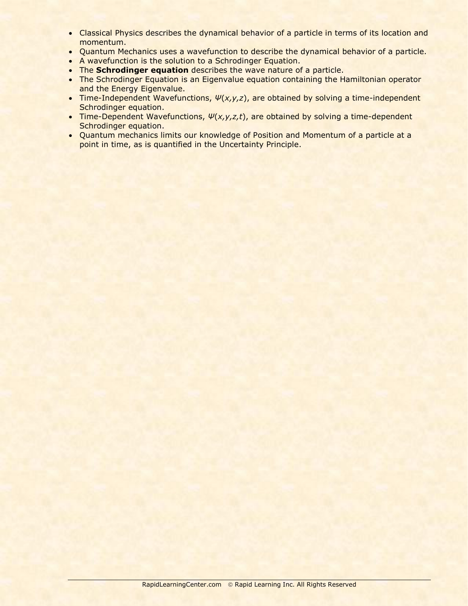- Classical Physics describes the dynamical behavior of a particle in terms of its location and momentum.
- Quantum Mechanics uses a wavefunction to describe the dynamical behavior of a particle.
- A wavefunction is the solution to a Schrodinger Equation.
- The **Schrodinger equation** describes the wave nature of a particle.
- The Schrodinger Equation is an Eigenvalue equation containing the Hamiltonian operator and the Energy Eigenvalue.
- Time-Independent Wavefunctions, *Ψ*(*x,y,z*), are obtained by solving a time-independent Schrodinger equation.
- Time-Dependent Wavefunctions, *Ψ*(*x,y,z,t*), are obtained by solving a time-dependent Schrodinger equation.
- Quantum mechanics limits our knowledge of Position and Momentum of a particle at a point in time, as is quantified in the Uncertainty Principle.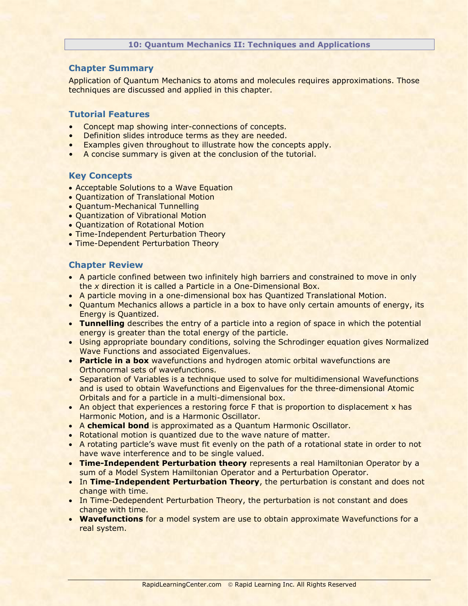#### **10: Quantum Mechanics II: Techniques and Applications**

## **Chapter Summary**

Application of Quantum Mechanics to atoms and molecules requires approximations. Those techniques are discussed and applied in this chapter.

#### **Tutorial Features**

- Concept map showing inter-connections of concepts.
- Definition slides introduce terms as they are needed.
- Examples given throughout to illustrate how the concepts apply.
- A concise summary is given at the conclusion of the tutorial.

# **Key Concepts**

- Acceptable Solutions to a Wave Equation
- Quantization of Translational Motion
- Quantum-Mechanical Tunnelling
- Quantization of Vibrational Motion
- Quantization of Rotational Motion
- Time-Independent Perturbation Theory
- Time-Dependent Perturbation Theory

- A particle confined between two infinitely high barriers and constrained to move in only the *x* direction it is called a Particle in a One-Dimensional Box.
- A particle moving in a one-dimensional box has Quantized Translational Motion.
- Quantum Mechanics allows a particle in a box to have only certain amounts of energy, its Energy is Quantized.
- **Tunnelling** describes the entry of a particle into a region of space in which the potential energy is greater than the total energy of the particle.
- Using appropriate boundary conditions, solving the Schrodinger equation gives Normalized Wave Functions and associated Eigenvalues.
- **Particle in a box** wavefunctions and hydrogen atomic orbital wavefunctions are Orthonormal sets of wavefunctions.
- Separation of Variables is a technique used to solve for multidimensional Wavefunctions and is used to obtain Wavefunctions and Eigenvalues for the three-dimensional Atomic Orbitals and for a particle in a multi-dimensional box.
- An object that experiences a restoring force F that is proportion to displacement x has Harmonic Motion, and is a Harmonic Oscillator.
- A **chemical bond** is approximated as a Quantum Harmonic Oscillator.
- Rotational motion is quantized due to the wave nature of matter.
- A rotating particle's wave must fit evenly on the path of a rotational state in order to not have wave interference and to be single valued.
- **Time-Independent Perturbation theory** represents a real Hamiltonian Operator by a sum of a Model System Hamiltonian Operator and a Perturbation Operator.
- In **Time-Independent Perturbation Theory**, the perturbation is constant and does not change with time.
- In Time-Dedependent Perturbation Theory, the perturbation is not constant and does change with time.
- **Wavefunctions** for a model system are use to obtain approximate Wavefunctions for a real system.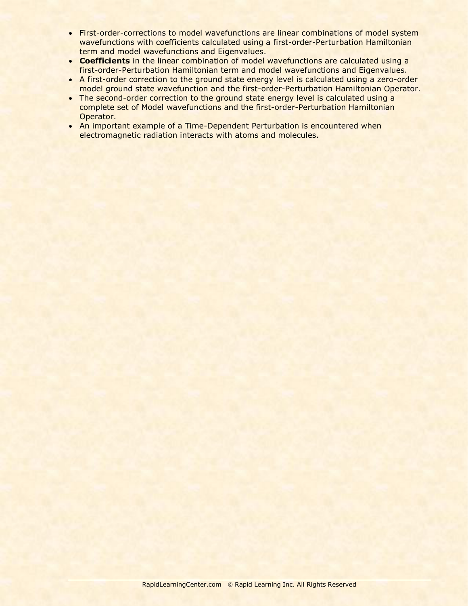- First-order-corrections to model wavefunctions are linear combinations of model system wavefunctions with coefficients calculated using a first-order-Perturbation Hamiltonian term and model wavefunctions and Eigenvalues.
- **Coefficients** in the linear combination of model wavefunctions are calculated using a first-order-Perturbation Hamiltonian term and model wavefunctions and Eigenvalues.
- A first-order correction to the ground state energy level is calculated using a zero-order model ground state wavefunction and the first-order-Perturbation Hamiltonian Operator.
- The second-order correction to the ground state energy level is calculated using a complete set of Model wavefunctions and the first-order-Perturbation Hamiltonian Operator.
- An important example of a Time-Dependent Perturbation is encountered when electromagnetic radiation interacts with atoms and molecules.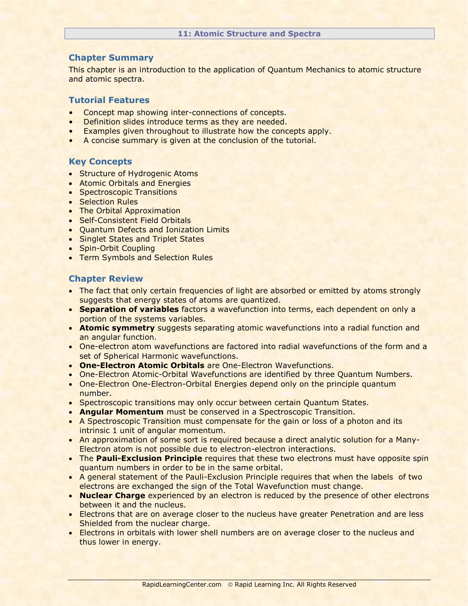#### **11: Atomic Structure and Spectra**

# **Chapter Summary**

This chapter is an introduction to the application of Quantum Mechanics to atomic structure and atomic spectra.

## **Tutorial Features**

- Concept map showing inter-connections of concepts.
- Definition slides introduce terms as they are needed.
- Examples given throughout to illustrate how the concepts apply.
- A concise summary is given at the conclusion of the tutorial.

# **Key Concepts**

- Structure of Hydrogenic Atoms
- **Atomic Orbitals and Energies**
- Spectroscopic Transitions
- Selection Rules
- The Orbital Approximation
- Self-Consistent Field Orbitals
- Ouantum Defects and Ionization Limits
- Singlet States and Triplet States
- Spin-Orbit Coupling
- Term Symbols and Selection Rules

- The fact that only certain frequencies of light are absorbed or emitted by atoms strongly suggests that energy states of atoms are quantized.
- **Separation of variables** factors a wavefunction into terms, each dependent on only a portion of the systems variables.
- **Atomic symmetry** suggests separating atomic wavefunctions into a radial function and an angular function.
- One-electron atom wavefunctions are factored into radial wavefunctions of the form and a set of Spherical Harmonic wavefunctions.
- **One-Electron Atomic Orbitals** are One-Electron Wavefunctions.
- One-Electron Atomic-Orbital Wavefunctions are identified by three Quantum Numbers.
- One-Electron One-Electron-Orbital Energies depend only on the principle quantum number.
- Spectroscopic transitions may only occur between certain Quantum States.
- **Angular Momentum** must be conserved in a Spectroscopic Transition.
- A Spectroscopic Transition must compensate for the gain or loss of a photon and its intrinsic 1 unit of angular momentum.
- An approximation of some sort is required because a direct analytic solution for a Many-Electron atom is not possible due to electron-electron interactions.
- **The Pauli-Exclusion Principle** requires that these two electrons must have opposite spin quantum numbers in order to be in the same orbital.
- A general statement of the Pauli-Exclusion Principle requires that when the labels of two electrons are exchanged the sign of the Total Wavefunction must change.
- **Nuclear Charge** experienced by an electron is reduced by the presence of other electrons between it and the nucleus.
- **Electrons that are on average closer to the nucleus have greater Penetration and are less** Shielded from the nuclear charge.
- **Electrons in orbitals with lower shell numbers are on average closer to the nucleus and** thus lower in energy.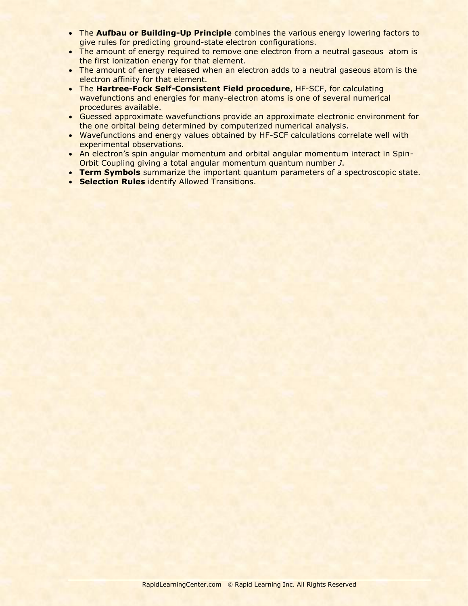- **The Aufbau or Building-Up Principle** combines the various energy lowering factors to give rules for predicting ground-state electron configurations.
- The amount of energy required to remove one electron from a neutral gaseous atom is the first ionization energy for that element.
- The amount of energy released when an electron adds to a neutral gaseous atom is the electron affinity for that element.
- The **Hartree-Fock Self-Consistent Field procedure**, HF-SCF, for calculating wavefunctions and energies for many-electron atoms is one of several numerical procedures available.
- Guessed approximate wavefunctions provide an approximate electronic environment for the one orbital being determined by computerized numerical analysis.
- Wavefunctions and energy values obtained by HF-SCF calculations correlate well with experimental observations.
- An electron's spin angular momentum and orbital angular momentum interact in Spin-Orbit Coupling giving a total angular momentum quantum number *J*.
- **Term Symbols** summarize the important quantum parameters of a spectroscopic state.
- **Selection Rules** identify Allowed Transitions.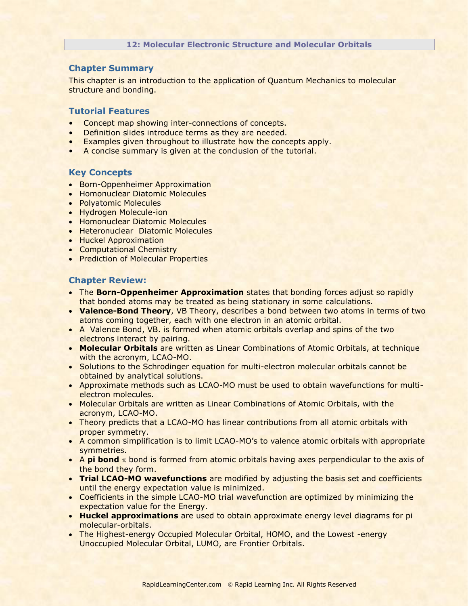#### **12: Molecular Electronic Structure and Molecular Orbitals**

# **Chapter Summary**

This chapter is an introduction to the application of Quantum Mechanics to molecular structure and bonding.

# **Tutorial Features**

- Concept map showing inter-connections of concepts.
- Definition slides introduce terms as they are needed.
- Examples given throughout to illustrate how the concepts apply.
- A concise summary is given at the conclusion of the tutorial.

# **Key Concepts**

- Born-Oppenheimer Approximation
- **Homonuclear Diatomic Molecules**
- Polyatomic Molecules
- Hydrogen Molecule-ion
- **Homonuclear Diatomic Molecules**
- **Heteronuclear Diatomic Molecules**
- Huckel Approximation
- **Computational Chemistry**
- Prediction of Molecular Properties

- The **Born-Oppenheimer Approximation** states that bonding forces adjust so rapidly that bonded atoms may be treated as being stationary in some calculations.
- **Valence-Bond Theory**, VB Theory, describes a bond between two atoms in terms of two atoms coming together, each with one electron in an atomic orbital.
- A Valence Bond, VB. is formed when atomic orbitals overlap and spins of the two electrons interact by pairing.
- **Molecular Orbitals** are written as Linear Combinations of Atomic Orbitals, at technique with the acronym, LCAO-MO.
- Solutions to the Schrodinger equation for multi-electron molecular orbitals cannot be obtained by analytical solutions.
- Approximate methods such as LCAO-MO must be used to obtain wavefunctions for multielectron molecules.
- Molecular Orbitals are written as Linear Combinations of Atomic Orbitals, with the acronym, LCAO-MO.
- Theory predicts that a LCAO-MO has linear contributions from all atomic orbitals with proper symmetry.
- A common simplification is to limit LCAO-MO's to valence atomic orbitals with appropriate symmetries.
- $\bullet$  A **pi bond**  $\pi$  bond is formed from atomic orbitals having axes perpendicular to the axis of the bond they form.
- **Trial LCAO-MO wavefunctions** are modified by adjusting the basis set and coefficients until the energy expectation value is minimized.
- Coefficients in the simple LCAO-MO trial wavefunction are optimized by minimizing the expectation value for the Energy.
- **Huckel approximations** are used to obtain approximate energy level diagrams for pi molecular-orbitals.
- The Highest-energy Occupied Molecular Orbital, HOMO, and the Lowest -energy Unoccupied Molecular Orbital, LUMO, are Frontier Orbitals.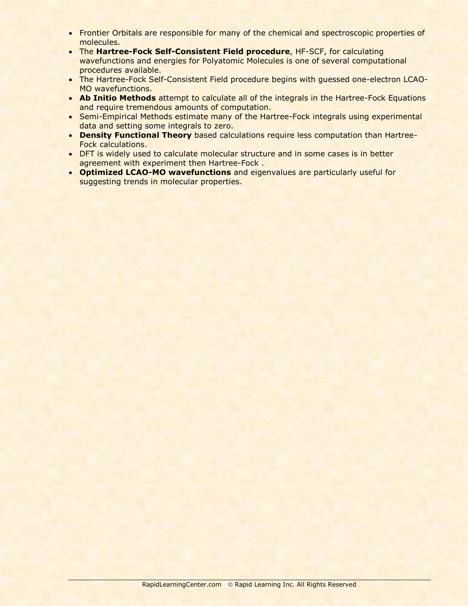- Frontier Orbitals are responsible for many of the chemical and spectroscopic properties of molecules.
- The **Hartree-Fock Self-Consistent Field procedure**, HF-SCF, for calculating wavefunctions and energies for Polyatomic Molecules is one of several computational procedures available.
- The Hartree-Fock Self-Consistent Field procedure begins with guessed one-electron LCAO-MO wavefunctions.
- **Ab Initio Methods** attempt to calculate all of the integrals in the Hartree-Fock Equations and require tremendous amounts of computation.
- Semi-Empirical Methods estimate many of the Hartree-Fock integrals using experimental data and setting some integrals to zero.
- **Density Functional Theory** based calculations require less computation than Hartree-Fock calculations.
- **DFT is widely used to calculate molecular structure and in some cases is in better** agreement with experiment then Hartree-Fock .
- **Optimized LCAO-MO wavefunctions** and eigenvalues are particularly useful for suggesting trends in molecular properties.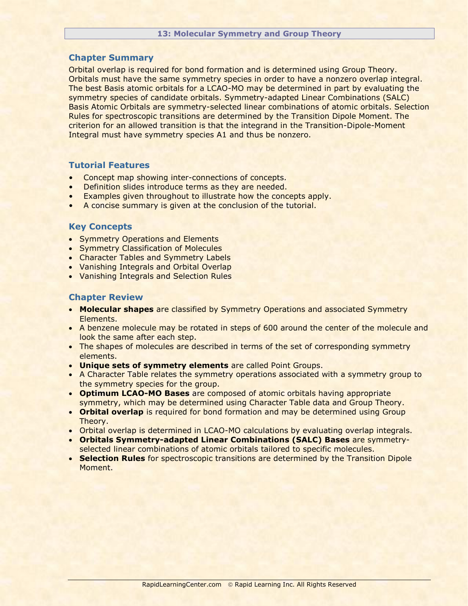Orbital overlap is required for bond formation and is determined using Group Theory. Orbitals must have the same symmetry species in order to have a nonzero overlap integral. The best Basis atomic orbitals for a LCAO-MO may be determined in part by evaluating the symmetry species of candidate orbitals. Symmetry-adapted Linear Combinations (SALC) Basis Atomic Orbitals are symmetry-selected linear combinations of atomic orbitals. Selection Rules for spectroscopic transitions are determined by the Transition Dipole Moment. The criterion for an allowed transition is that the integrand in the Transition-Dipole-Moment Integral must have symmetry species A1 and thus be nonzero.

## **Tutorial Features**

- Concept map showing inter-connections of concepts.
- Definition slides introduce terms as they are needed.
- Examples given throughout to illustrate how the concepts apply.
- A concise summary is given at the conclusion of the tutorial.

## **Key Concepts**

- Symmetry Operations and Elements
- Symmetry Classification of Molecules
- Character Tables and Symmetry Labels
- Vanishing Integrals and Orbital Overlap
- Vanishing Integrals and Selection Rules

- **Molecular shapes** are classified by Symmetry Operations and associated Symmetry Elements.
- A benzene molecule may be rotated in steps of 600 around the center of the molecule and look the same after each step.
- The shapes of molecules are described in terms of the set of corresponding symmetry elements.
- **Unique sets of symmetry elements** are called Point Groups.
- A Character Table relates the symmetry operations associated with a symmetry group to the symmetry species for the group.
- **Optimum LCAO-MO Bases** are composed of atomic orbitals having appropriate symmetry, which may be determined using Character Table data and Group Theory.
- **Orbital overlap** is required for bond formation and may be determined using Group Theory.
- Orbital overlap is determined in LCAO-MO calculations by evaluating overlap integrals.
- **Orbitals Symmetry-adapted Linear Combinations (SALC) Bases** are symmetryselected linear combinations of atomic orbitals tailored to specific molecules.
- **Selection Rules** for spectroscopic transitions are determined by the Transition Dipole Moment.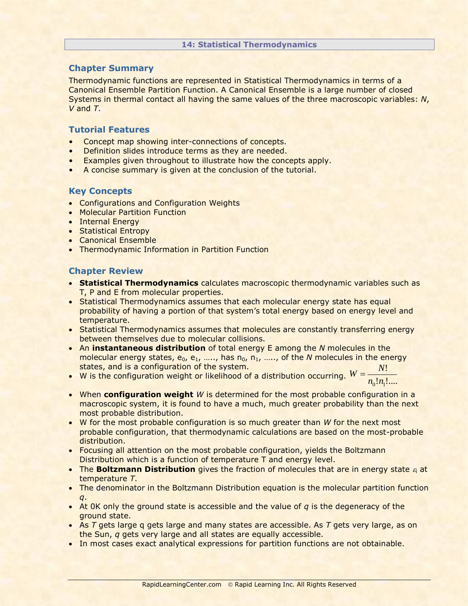#### **14: Statistical Thermodynamics**

# **Chapter Summary**

Thermodynamic functions are represented in Statistical Thermodynamics in terms of a Canonical Ensemble Partition Function. A Canonical Ensemble is a large number of closed Systems in thermal contact all having the same values of the three macroscopic variables: *N*, *V* and *T*.

# **Tutorial Features**

- Concept map showing inter-connections of concepts.
- Definition slides introduce terms as they are needed.
- Examples given throughout to illustrate how the concepts apply.
- A concise summary is given at the conclusion of the tutorial.

# **Key Concepts**

- Configurations and Configuration Weights
- Molecular Partition Function
- Internal Energy
- Statistical Entropy
- Canonical Ensemble
- Thermodynamic Information in Partition Function

- **Statistical Thermodynamics** calculates macroscopic thermodynamic variables such as T, P and E from molecular properties.
- Statistical Thermodynamics assumes that each molecular energy state has equal probability of having a portion of that system's total energy based on energy level and temperature.
- Statistical Thermodynamics assumes that molecules are constantly transferring energy between themselves due to molecular collisions.
- An **instantaneous distribution** of total energy E among the *N* molecules in the molecular energy states, e<sub>0</sub>, e<sub>1</sub>, ….., has n<sub>0</sub>, n<sub>1</sub>, ….., of the *N* molecules in the energy states, and is a configuration of the system. states, and is a configuration of the system.<br>• W is the configuration weight or likelihood of a distribution occurring.  $W = \frac{N}{m \ln n}$ !
- $!n_1!...$  $n_{0}!n_{1}$
- When **configuration weight** *W* is determined for the most probable configuration in a macroscopic system, it is found to have a much, much greater probability than the next most probable distribution.
- W for the most probable configuration is so much greater than *W* for the next most probable configuration, that thermodynamic calculations are based on the most-probable distribution.
- Focusing all attention on the most probable configuration, yields the Boltzmann Distribution which is a function of temperature T and energy level.
- **The Boltzmann Distribution** gives the fraction of molecules that are in energy state a at temperature *T*.
- The denominator in the Boltzmann Distribution equation is the molecular partition function *q*.
- $\bullet$  At 0K only the ground state is accessible and the value of  $q$  is the degeneracy of the ground state.
- As *T* gets large q gets large and many states are accessible. As *T* gets very large, as on the Sun, *q* gets very large and all states are equally accessible.
- In most cases exact analytical expressions for partition functions are not obtainable.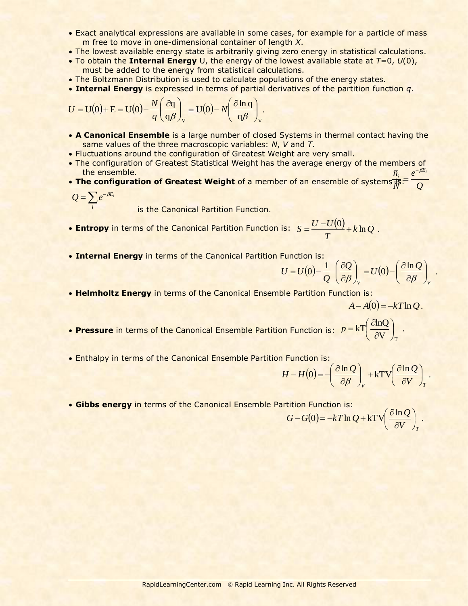- Exact analytical expressions are available in some cases, for example for a particle of mass m free to move in one-dimensional container of length *X*.
- The lowest available energy state is arbitrarily giving zero energy in statistical calculations.
- To obtain the **Internal Energy** U, the energy of the lowest available state at *T*=0, *U*(0), must be added to the energy from statistical calculations.
- . The Boltzmann Distribution is used to calculate populations of the energy states.
- **Internal Energy** is expressed in terms of partial derivatives of the partition function *q*.

$$
U = U(0) + E = U(0) - \frac{N}{q} \left( \frac{\partial q}{q \beta} \right)_V = U(0) - N \left( \frac{\partial \ln q}{q \beta} \right)_V.
$$

- **A Canonical Ensemble** is a large number of closed Systems in thermal contact having the same values of the three macroscopic variables: *N*, *V* and *T*.
- Fluctuations around the configuration of Greatest Weight are very small.
- The configuration of Greatest Statistical Weight has the average energy of the members of the ensemble. *e*  $\overline{n}_{i}$   $e^{-\beta E_{i}}$  $-\beta$
- The configuration of Greatest Weight of a member of an ensemble of systems $\overline{\vec{N}}$ :  $\overline{\phantom{a}Q}$ *N*  $=$

$$
Q=\sum_i e^{-\beta E_i}
$$

is the Canonical Partition Function.

- **Entropy** in terms of the Canonical Partition Function is:  $S = \frac{U U(0)}{\pi} + k \ln Q$ . *T*  $S = \frac{U - U(0)}{T} +$
- **Internal Energy** in terms of the Canonical Partition Function is:

$$
U = U(0) - \frac{1}{Q} \left( \frac{\partial Q}{\partial \beta} \right)_V = U(0) - \left( \frac{\partial \ln Q}{\partial \beta} \right)_V.
$$

**Helmholtz Energy** in terms of the Canonical Ensemble Partition Function is:

$$
A-A(0)=-kT\ln Q.
$$

- **Pressure** in terms of the Canonical Ensemble Partition Function is:  $p = kT \frac{dmQ}{mL}$ . V  $kT\left(\frac{\partial \ln Q}{\partial L}\right)$ T J  $\left(\frac{\partial \ln Q}{\partial x}\right)$  $\setminus$ ſ  $\partial$  $p = kT \left( \frac{\partial}{\partial r} \right)$
- Enthalpy in terms of the Canonical Ensemble Partition Function is:

$$
H - H(0) = -\left(\frac{\partial \ln Q}{\partial \beta}\right)_V + k \text{TV} \left(\frac{\partial \ln Q}{\partial V}\right)_T.
$$

**Gibbs energy** in terms of the Canonical Ensemble Partition Function is:

$$
G - G(0) = -kT \ln Q + kTV \left(\frac{\partial \ln Q}{\partial V}\right)_T.
$$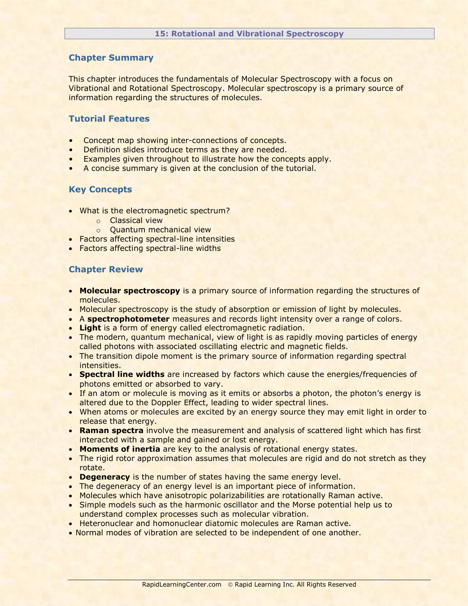This chapter introduces the fundamentals of Molecular Spectroscopy with a focus on Vibrational and Rotational Spectroscopy. Molecular spectroscopy is a primary source of information regarding the structures of molecules.

# **Tutorial Features**

- Concept map showing inter-connections of concepts.
- Definition slides introduce terms as they are needed.
- Examples given throughout to illustrate how the concepts apply.
- A concise summary is given at the conclusion of the tutorial.

# **Key Concepts**

- What is the electromagnetic spectrum?
	- o Classical view
	- o Quantum mechanical view
- Factors affecting spectral-line intensities
- Factors affecting spectral-line widths

- **Molecular spectroscopy** is a primary source of information regarding the structures of molecules.
- Molecular spectroscopy is the study of absorption or emission of light by molecules.
- A **spectrophotometer** measures and records light intensity over a range of colors.
- **Light** is a form of energy called electromagnetic radiation.
- The modern, quantum mechanical, view of light is as rapidly moving particles of energy called photons with associated oscillating electric and magnetic fields.
- The transition dipole moment is the primary source of information regarding spectral intensities.
- **Spectral line widths** are increased by factors which cause the energies/frequencies of photons emitted or absorbed to vary.
- If an atom or molecule is moving as it emits or absorbs a photon, the photon's energy is altered due to the Doppler Effect, leading to wider spectral lines.
- When atoms or molecules are excited by an energy source they may emit light in order to release that energy.
- **Raman spectra** involve the measurement and analysis of scattered light which has first interacted with a sample and gained or lost energy.
- **Moments of inertia** are key to the analysis of rotational energy states.
- The rigid rotor approximation assumes that molecules are rigid and do not stretch as they rotate.
- **Degeneracy** is the number of states having the same energy level.
- The degeneracy of an energy level is an important piece of information.
- Molecules which have anisotropic polarizabilities are rotationally Raman active.
- Simple models such as the harmonic oscillator and the Morse potential help us to understand complex processes such as molecular vibration.
- Heteronuclear and homonuclear diatomic molecules are Raman active.
- Normal modes of vibration are selected to be independent of one another.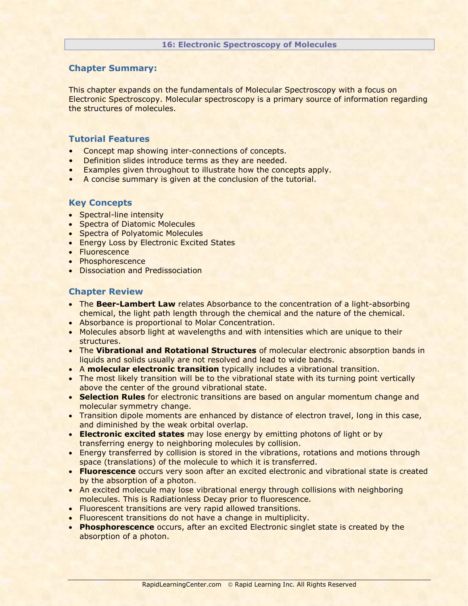This chapter expands on the fundamentals of Molecular Spectroscopy with a focus on Electronic Spectroscopy. Molecular spectroscopy is a primary source of information regarding the structures of molecules.

## **Tutorial Features**

- Concept map showing inter-connections of concepts.
- Definition slides introduce terms as they are needed.
- Examples given throughout to illustrate how the concepts apply.
- A concise summary is given at the conclusion of the tutorial.

# **Key Concepts**

- Spectral-line intensity
- Spectra of Diatomic Molecules
- Spectra of Polyatomic Molecules
- **Energy Loss by Electronic Excited States**
- Fluorescence
- Phosphorescence
- Dissociation and Predissociation

- **The Beer-Lambert Law** relates Absorbance to the concentration of a light-absorbing chemical, the light path length through the chemical and the nature of the chemical.
- Absorbance is proportional to Molar Concentration.
- Molecules absorb light at wavelengths and with intensities which are unique to their structures.
- The **Vibrational and Rotational Structures** of molecular electronic absorption bands in liquids and solids usually are not resolved and lead to wide bands.
- A **molecular electronic transition** typically includes a vibrational transition.
- The most likely transition will be to the vibrational state with its turning point vertically above the center of the ground vibrational state.
- **Selection Rules** for electronic transitions are based on angular momentum change and molecular symmetry change.
- Transition dipole moments are enhanced by distance of electron travel, long in this case, and diminished by the weak orbital overlap.
- **Electronic excited states** may lose energy by emitting photons of light or by transferring energy to neighboring molecules by collision.
- Energy transferred by collision is stored in the vibrations, rotations and motions through space (translations) of the molecule to which it is transferred.
- **Fluorescence** occurs very soon after an excited electronic and vibrational state is created by the absorption of a photon.
- An excited molecule may lose vibrational energy through collisions with neighboring molecules. This is Radiationless Decay prior to fluorescence.
- Fluorescent transitions are very rapid allowed transitions.
- Fluorescent transitions do not have a change in multiplicity.
- **Phosphorescence** occurs, after an excited Electronic singlet state is created by the absorption of a photon.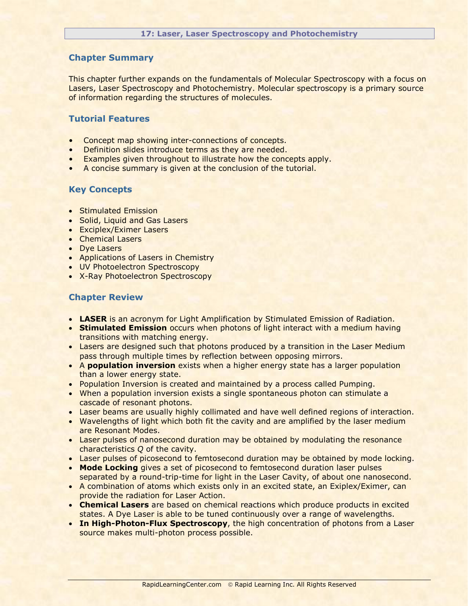This chapter further expands on the fundamentals of Molecular Spectroscopy with a focus on Lasers, Laser Spectroscopy and Photochemistry. Molecular spectroscopy is a primary source of information regarding the structures of molecules.

## **Tutorial Features**

- Concept map showing inter-connections of concepts.
- Definition slides introduce terms as they are needed.
- Examples given throughout to illustrate how the concepts apply.
- A concise summary is given at the conclusion of the tutorial.

## **Key Concepts**

- **Stimulated Emission**
- Solid, Liquid and Gas Lasers
- Exciplex/Eximer Lasers
- Chemical Lasers
- Dye Lasers
- Applications of Lasers in Chemistry
- UV Photoelectron Spectroscopy
- X-Ray Photoelectron Spectroscopy

- **LASER** is an acronym for Light Amplification by Stimulated Emission of Radiation.
- **Stimulated Emission** occurs when photons of light interact with a medium having transitions with matching energy.
- Lasers are designed such that photons produced by a transition in the Laser Medium pass through multiple times by reflection between opposing mirrors.
- A **population inversion** exists when a higher energy state has a larger population than a lower energy state.
- Population Inversion is created and maintained by a process called Pumping.
- When a population inversion exists a single spontaneous photon can stimulate a cascade of resonant photons.
- Laser beams are usually highly collimated and have well defined regions of interaction.
- Wavelengths of light which both fit the cavity and are amplified by the laser medium are Resonant Modes.
- Laser pulses of nanosecond duration may be obtained by modulating the resonance characteristics *Q* of the cavity.
- Laser pulses of picosecond to femtosecond duration may be obtained by mode locking.
- **Mode Locking** gives a set of picosecond to femtosecond duration laser pulses separated by a round-trip-time for light in the Laser Cavity, of about one nanosecond.
- A combination of atoms which exists only in an excited state, an Exiplex/Eximer, can provide the radiation for Laser Action.
- **Chemical Lasers** are based on chemical reactions which produce products in excited states. A Dye Laser is able to be tuned continuously over a range of wavelengths.
- **In High-Photon-Flux Spectroscopy**, the high concentration of photons from a Laser source makes multi-photon process possible.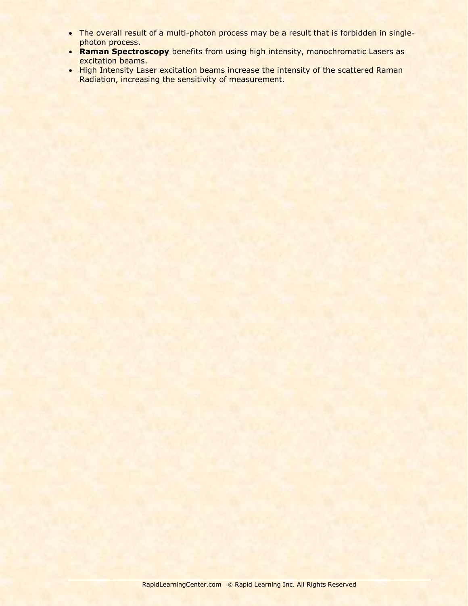- The overall result of a multi-photon process may be a result that is forbidden in singlephoton process.
- **Raman Spectroscopy** benefits from using high intensity, monochromatic Lasers as excitation beams.
- High Intensity Laser excitation beams increase the intensity of the scattered Raman Radiation, increasing the sensitivity of measurement.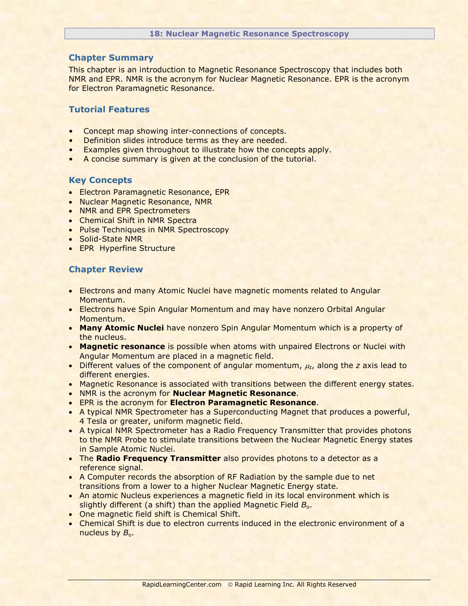This chapter is an introduction to Magnetic Resonance Spectroscopy that includes both NMR and EPR. NMR is the acronym for Nuclear Magnetic Resonance. EPR is the acronym for Electron Paramagnetic Resonance.

# **Tutorial Features**

- Concept map showing inter-connections of concepts.
- Definition slides introduce terms as they are needed.
- Examples given throughout to illustrate how the concepts apply.
- A concise summary is given at the conclusion of the tutorial.

## **Key Concepts**

- **Electron Paramagnetic Resonance, EPR**
- Nuclear Magnetic Resonance, NMR
- NMR and EPR Spectrometers
- Chemical Shift in NMR Spectra
- Pulse Techniques in NMR Spectroscopy
- Solid-State NMR
- EPR Hyperfine Structure

- Electrons and many Atomic Nuclei have magnetic moments related to Angular Momentum.
- Electrons have Spin Angular Momentum and may have nonzero Orbital Angular Momentum.
- **Many Atomic Nuclei** have nonzero Spin Angular Momentum which is a property of the nucleus.
- **Magnetic resonance** is possible when atoms with unpaired Electrons or Nuclei with Angular Momentum are placed in a magnetic field.
- **Different values of the component of angular momentum,**  $\mu_z$ **, along the** *z* **axis lead to** different energies.
- Magnetic Resonance is associated with transitions between the different energy states.
- NMR is the acronym for **Nuclear Magnetic Resonance**.
- EPR is the acronym for **Electron Paramagnetic Resonance**.
- A typical NMR Spectrometer has a Superconducting Magnet that produces a powerful, 4 Tesla or greater, uniform magnetic field.
- A typical NMR Spectrometer has a Radio Frequency Transmitter that provides photons to the NMR Probe to stimulate transitions between the Nuclear Magnetic Energy states in Sample Atomic Nuclei.
- **The Radio Frequency Transmitter** also provides photons to a detector as a reference signal.
- A Computer records the absorption of RF Radiation by the sample due to net transitions from a lower to a higher Nuclear Magnetic Energy state.
- An atomic Nucleus experiences a magnetic field in its local environment which is slightly different (a shift) than the applied Magnetic Field B<sub>o</sub>.
- One magnetic field shift is Chemical Shift.
- Chemical Shift is due to electron currents induced in the electronic environment of a nucleus by  $B_{0}$ .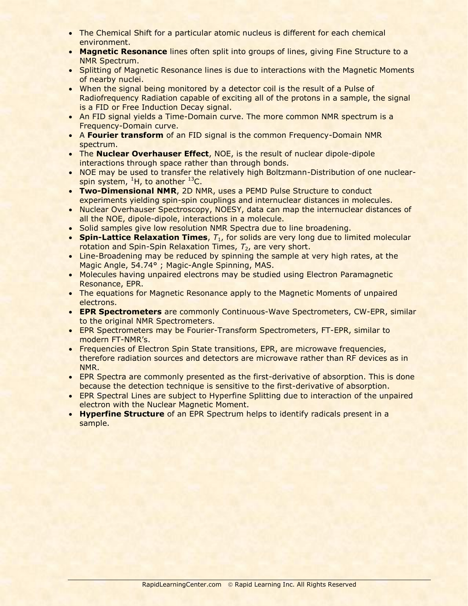- The Chemical Shift for a particular atomic nucleus is different for each chemical environment.
- **Magnetic Resonance** lines often split into groups of lines, giving Fine Structure to a NMR Spectrum.
- Splitting of Magnetic Resonance lines is due to interactions with the Magnetic Moments of nearby nuclei.
- When the signal being monitored by a detector coil is the result of a Pulse of Radiofrequency Radiation capable of exciting all of the protons in a sample, the signal is a FID or Free Induction Decay signal.
- An FID signal yields a Time-Domain curve. The more common NMR spectrum is a Frequency-Domain curve.
- A **Fourier transform** of an FID signal is the common Frequency-Domain NMR spectrum.
- The **Nuclear Overhauser Effect**, NOE, is the result of nuclear dipole-dipole interactions through space rather than through bonds.
- NOE may be used to transfer the relatively high Boltzmann-Distribution of one nuclearspin system,  ${}^{1}H$ , to another  ${}^{13}C$ .
- **Two-Dimensional NMR**, 2D NMR, uses a PEMD Pulse Structure to conduct experiments yielding spin-spin couplings and internuclear distances in molecules.
- Nuclear Overhauser Spectroscopy, NOESY, data can map the internuclear distances of all the NOE, dipole-dipole, interactions in a molecule.
- Solid samples give low resolution NMR Spectra due to line broadening.
- **Spin-Lattice Relaxation Times**,  $T_1$ , for solids are very long due to limited molecular rotation and Spin-Spin Relaxation Times,  $T_2$ , are very short.
- Line-Broadening may be reduced by spinning the sample at very high rates, at the Magic Angle, 54.74° ; Magic-Angle Spinning, MAS.
- Molecules having unpaired electrons may be studied using Electron Paramagnetic Resonance, EPR.
- The equations for Magnetic Resonance apply to the Magnetic Moments of unpaired electrons.
- **EPR Spectrometers** are commonly Continuous-Wave Spectrometers, CW-EPR, similar to the original NMR Spectrometers.
- EPR Spectrometers may be Fourier-Transform Spectrometers, FT-EPR, similar to modern FT-NMR's.
- Frequencies of Electron Spin State transitions, EPR, are microwave frequencies, therefore radiation sources and detectors are microwave rather than RF devices as in NMR.
- **EPR Spectra are commonly presented as the first-derivative of absorption. This is done** because the detection technique is sensitive to the first-derivative of absorption.
- EPR Spectral Lines are subject to Hyperfine Splitting due to interaction of the unpaired electron with the Nuclear Magnetic Moment.
- **Hyperfine Structure** of an EPR Spectrum helps to identify radicals present in a sample.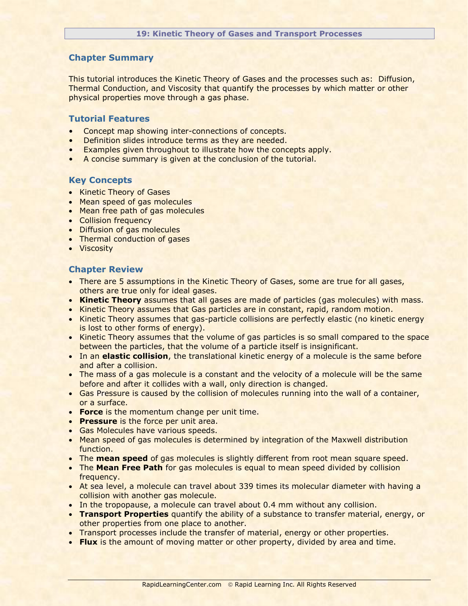This tutorial introduces the Kinetic Theory of Gases and the processes such as: Diffusion, Thermal Conduction, and Viscosity that quantify the processes by which matter or other physical properties move through a gas phase.

# **Tutorial Features**

- Concept map showing inter-connections of concepts.
- Definition slides introduce terms as they are needed.
- Examples given throughout to illustrate how the concepts apply.
- A concise summary is given at the conclusion of the tutorial.

## **Key Concepts**

- Kinetic Theory of Gases
- Mean speed of gas molecules
- Mean free path of gas molecules
- Collision frequency
- Diffusion of gas molecules
- Thermal conduction of gases
- **•** Viscosity

- There are 5 assumptions in the Kinetic Theory of Gases, some are true for all gases, others are true only for ideal gases.
- **Kinetic Theory** assumes that all gases are made of particles (gas molecules) with mass.
- Kinetic Theory assumes that Gas particles are in constant, rapid, random motion.
- Kinetic Theory assumes that gas-particle collisions are perfectly elastic (no kinetic energy is lost to other forms of energy).
- Kinetic Theory assumes that the volume of gas particles is so small compared to the space between the particles, that the volume of a particle itself is insignificant.
- In an **elastic collision**, the translational kinetic energy of a molecule is the same before and after a collision.
- The mass of a gas molecule is a constant and the velocity of a molecule will be the same before and after it collides with a wall, only direction is changed.
- Gas Pressure is caused by the collision of molecules running into the wall of a container, or a surface.
- **Force** is the momentum change per unit time.
- **Pressure** is the force per unit area.
- Gas Molecules have various speeds.
- Mean speed of gas molecules is determined by integration of the Maxwell distribution function.
- The **mean speed** of gas molecules is slightly different from root mean square speed.
- **The Mean Free Path** for gas molecules is equal to mean speed divided by collision frequency.
- At sea level, a molecule can travel about 339 times its molecular diameter with having a collision with another gas molecule.
- In the tropopause, a molecule can travel about 0.4 mm without any collision.
- **Transport Properties** quantify the ability of a substance to transfer material, energy, or other properties from one place to another.
- Transport processes include the transfer of material, energy or other properties.
- **Flux** is the amount of moving matter or other property, divided by area and time.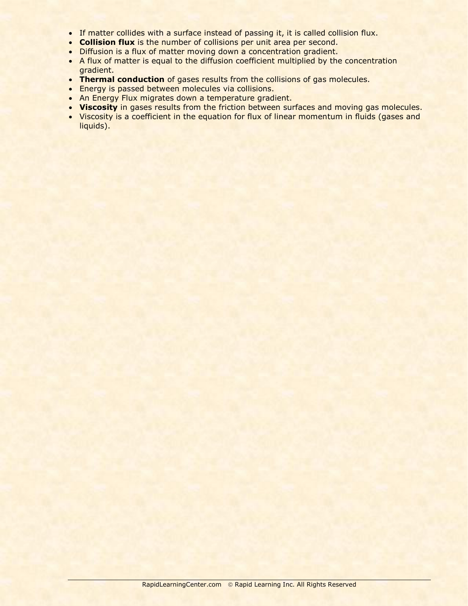- If matter collides with a surface instead of passing it, it is called collision flux.
- **Collision flux** is the number of collisions per unit area per second.
- Diffusion is a flux of matter moving down a concentration gradient.
- A flux of matter is equal to the diffusion coefficient multiplied by the concentration gradient.
- **Thermal conduction** of gases results from the collisions of gas molecules.
- **Energy is passed between molecules via collisions.**
- An Energy Flux migrates down a temperature gradient.
- **Viscosity** in gases results from the friction between surfaces and moving gas molecules.
- Viscosity is a coefficient in the equation for flux of linear momentum in fluids (gases and liquids).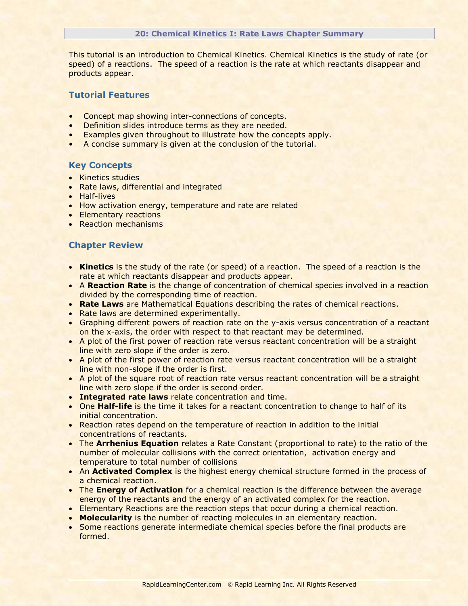#### **20: Chemical Kinetics I: Rate Laws Chapter Summary**

This tutorial is an introduction to Chemical Kinetics. Chemical Kinetics is the study of rate (or speed) of a reactions. The speed of a reaction is the rate at which reactants disappear and products appear.

# **Tutorial Features**

- Concept map showing inter-connections of concepts.
- Definition slides introduce terms as they are needed.
- Examples given throughout to illustrate how the concepts apply.
- A concise summary is given at the conclusion of the tutorial.

## **Key Concepts**

- Kinetics studies
- Rate laws, differential and integrated
- Half-lives
- How activation energy, temperature and rate are related
- Elementary reactions
- Reaction mechanisms

- **Kinetics** is the study of the rate (or speed) of a reaction. The speed of a reaction is the rate at which reactants disappear and products appear.
- A **Reaction Rate** is the change of concentration of chemical species involved in a reaction divided by the corresponding time of reaction.
- **Rate Laws** are Mathematical Equations describing the rates of chemical reactions.
- Rate laws are determined experimentally.
- Graphing different powers of reaction rate on the y-axis versus concentration of a reactant on the x-axis, the order with respect to that reactant may be determined.
- A plot of the first power of reaction rate versus reactant concentration will be a straight line with zero slope if the order is zero.
- A plot of the first power of reaction rate versus reactant concentration will be a straight line with non-slope if the order is first.
- A plot of the square root of reaction rate versus reactant concentration will be a straight line with zero slope if the order is second order.
- **Integrated rate laws** relate concentration and time.
- **One Half-life** is the time it takes for a reactant concentration to change to half of its initial concentration.
- Reaction rates depend on the temperature of reaction in addition to the initial concentrations of reactants.
- The **Arrhenius Equation** relates a Rate Constant (proportional to rate) to the ratio of the number of molecular collisions with the correct orientation, activation energy and temperature to total number of collisions
- An **Activated Complex** is the highest energy chemical structure formed in the process of a chemical reaction.
- **The Energy of Activation** for a chemical reaction is the difference between the average energy of the reactants and the energy of an activated complex for the reaction.
- **Elementary Reactions are the reaction steps that occur during a chemical reaction.**
- **Molecularity** is the number of reacting molecules in an elementary reaction.
- Some reactions generate intermediate chemical species before the final products are formed.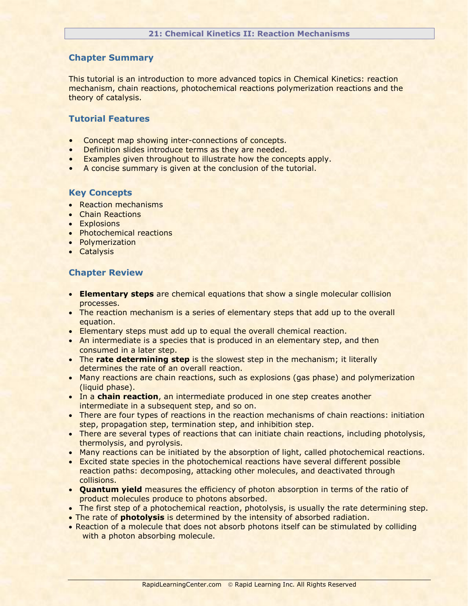This tutorial is an introduction to more advanced topics in Chemical Kinetics: reaction mechanism, chain reactions, photochemical reactions polymerization reactions and the theory of catalysis.

## **Tutorial Features**

- Concept map showing inter-connections of concepts.
- Definition slides introduce terms as they are needed.
- Examples given throughout to illustrate how the concepts apply.
- A concise summary is given at the conclusion of the tutorial.

#### **Key Concepts**

- Reaction mechanisms
- Chain Reactions
- Explosions
- Photochemical reactions
- Polymerization
- **•** Catalysis

- **Elementary steps** are chemical equations that show a single molecular collision processes.
- The reaction mechanism is a series of elementary steps that add up to the overall equation.
- Elementary steps must add up to equal the overall chemical reaction.
- An intermediate is a species that is produced in an elementary step, and then consumed in a later step.
- The **rate determining step** is the slowest step in the mechanism; it literally determines the rate of an overall reaction.
- Many reactions are chain reactions, such as explosions (gas phase) and polymerization (liquid phase).
- In a **chain reaction**, an intermediate produced in one step creates another intermediate in a subsequent step, and so on.
- There are four types of reactions in the reaction mechanisms of chain reactions: initiation step, propagation step, termination step, and inhibition step.
- There are several types of reactions that can initiate chain reactions, including photolysis, thermolysis, and pyrolysis.
- Many reactions can be initiated by the absorption of light, called photochemical reactions.
- Excited state species in the photochemical reactions have several different possible reaction paths: decomposing, attacking other molecules, and deactivated through collisions.
- **Quantum yield** measures the efficiency of photon absorption in terms of the ratio of product molecules produce to photons absorbed.
- The first step of a photochemical reaction, photolysis, is usually the rate determining step.
- The rate of **photolysis** is determined by the intensity of absorbed radiation.
- Reaction of a molecule that does not absorb photons itself can be stimulated by colliding with a photon absorbing molecule.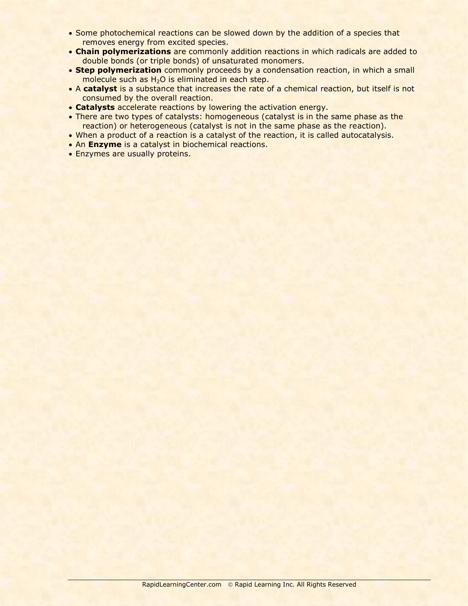- Some photochemical reactions can be slowed down by the addition of a species that removes energy from excited species.
- **Chain polymerizations** are commonly addition reactions in which radicals are added to double bonds (or triple bonds) of unsaturated monomers.
- **Step polymerization** commonly proceeds by a condensation reaction, in which a small molecule such as  $H<sub>2</sub>O$  is eliminated in each step.
- A **catalyst** is a substance that increases the rate of a chemical reaction, but itself is not consumed by the overall reaction.
- **Catalysts** accelerate reactions by lowering the activation energy.
- There are two types of catalysts: homogeneous (catalyst is in the same phase as the reaction) or heterogeneous (catalyst is not in the same phase as the reaction).
- When a product of a reaction is a catalyst of the reaction, it is called autocatalysis.
- An **Enzyme** is a catalyst in biochemical reactions.
- Enzymes are usually proteins.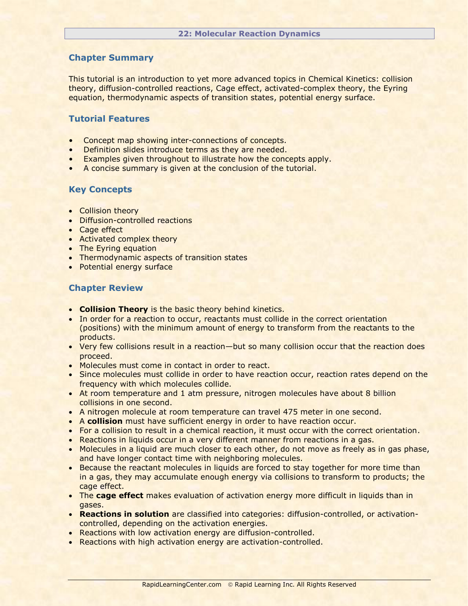This tutorial is an introduction to yet more advanced topics in Chemical Kinetics: collision theory, diffusion-controlled reactions, Cage effect, activated-complex theory, the Eyring equation, thermodynamic aspects of transition states, potential energy surface.

# **Tutorial Features**

- Concept map showing inter-connections of concepts.
- Definition slides introduce terms as they are needed.
- Examples given throughout to illustrate how the concepts apply.
- A concise summary is given at the conclusion of the tutorial.

# **Key Concepts**

- Collision theory
- Diffusion-controlled reactions
- Cage effect
- Activated complex theory
- The Eyring equation
- Thermodynamic aspects of transition states
- Potential energy surface

- **Collision Theory** is the basic theory behind kinetics.
- In order for a reaction to occur, reactants must collide in the correct orientation (positions) with the minimum amount of energy to transform from the reactants to the products.
- Very few collisions result in a reaction—but so many collision occur that the reaction does proceed.
- Molecules must come in contact in order to react.
- Since molecules must collide in order to have reaction occur, reaction rates depend on the frequency with which molecules collide.
- At room temperature and 1 atm pressure, nitrogen molecules have about 8 billion collisions in one second.
- A nitrogen molecule at room temperature can travel 475 meter in one second.
- A **collision** must have sufficient energy in order to have reaction occur.
- For a collision to result in a chemical reaction, it must occur with the correct orientation.
- Reactions in liquids occur in a very different manner from reactions in a gas.
- Molecules in a liquid are much closer to each other, do not move as freely as in gas phase, and have longer contact time with neighboring molecules.
- **Because the reactant molecules in liquids are forced to stay together for more time than** in a gas, they may accumulate enough energy via collisions to transform to products; the cage effect.
- The **cage effect** makes evaluation of activation energy more difficult in liquids than in gases.
- **Reactions in solution** are classified into categories: diffusion-controlled, or activationcontrolled, depending on the activation energies.
- Reactions with low activation energy are diffusion-controlled.
- Reactions with high activation energy are activation-controlled.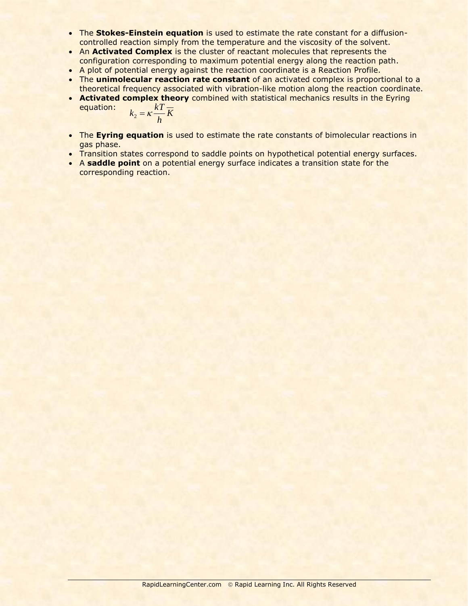- The **Stokes-Einstein equation** is used to estimate the rate constant for a diffusioncontrolled reaction simply from the temperature and the viscosity of the solvent.
- An **Activated Complex** is the cluster of reactant molecules that represents the configuration corresponding to maximum potential energy along the reaction path.
- A plot of potential energy against the reaction coordinate is a Reaction Profile.
- The **unimolecular reaction rate constant** of an activated complex is proportional to a theoretical frequency associated with vibration-like motion along the reaction coordinate.
- **Activated complex theory** combined with statistical mechanics results in the Eyring equation:  $kT -$

$$
k_2 = \kappa \frac{\kappa_1}{h} K
$$

- The **Eyring equation** is used to estimate the rate constants of bimolecular reactions in gas phase.
- Transition states correspond to saddle points on hypothetical potential energy surfaces.
- A **saddle point** on a potential energy surface indicates a transition state for the corresponding reaction.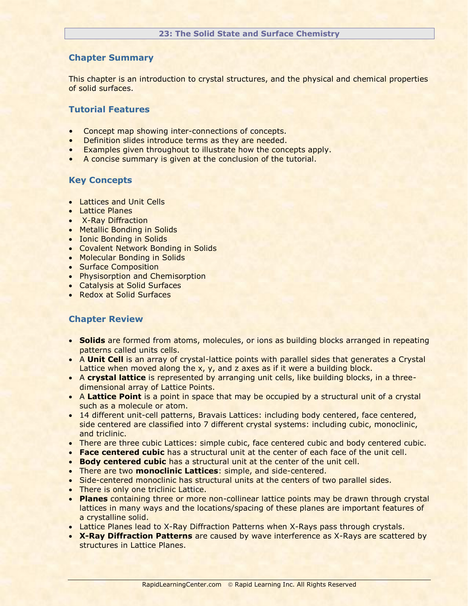This chapter is an introduction to crystal structures, and the physical and chemical properties of solid surfaces.

# **Tutorial Features**

- Concept map showing inter-connections of concepts.
- Definition slides introduce terms as they are needed.
- Examples given throughout to illustrate how the concepts apply.
- A concise summary is given at the conclusion of the tutorial.

# **Key Concepts**

- **Lattices and Unit Cells**
- **•** Lattice Planes
- X-Ray Diffraction
- Metallic Bonding in Solids
- Ionic Bonding in Solids
- Covalent Network Bonding in Solids
- Molecular Bonding in Solids
- Surface Composition
- Physisorption and Chemisorption
- Catalysis at Solid Surfaces
- Redox at Solid Surfaces

- **Solids** are formed from atoms, molecules, or ions as building blocks arranged in repeating patterns called units cells.
- A **Unit Cell** is an array of crystal-lattice points with parallel sides that generates a Crystal Lattice when moved along the x, y, and z axes as if it were a building block.
- A **crystal lattice** is represented by arranging unit cells, like building blocks, in a threedimensional array of Lattice Points.
- A Lattice Point is a point in space that may be occupied by a structural unit of a crystal such as a molecule or atom.
- 14 different unit-cell patterns, Bravais Lattices: including body centered, face centered, side centered are classified into 7 different crystal systems: including cubic, monoclinic, and triclinic.
- There are three cubic Lattices: simple cubic, face centered cubic and body centered cubic.
- **Face centered cubic** has a structural unit at the center of each face of the unit cell.
- **Body centered cubic** has a structural unit at the center of the unit cell.
- There are two **monoclinic Lattices**: simple, and side-centered.
- Side-centered monoclinic has structural units at the centers of two parallel sides.
- There is only one triclinic Lattice.
- **Planes** containing three or more non-collinear lattice points may be drawn through crystal lattices in many ways and the locations/spacing of these planes are important features of a crystalline solid.
- Lattice Planes lead to X-Ray Diffraction Patterns when X-Rays pass through crystals.
- **X-Ray Diffraction Patterns** are caused by wave interference as X-Rays are scattered by structures in Lattice Planes.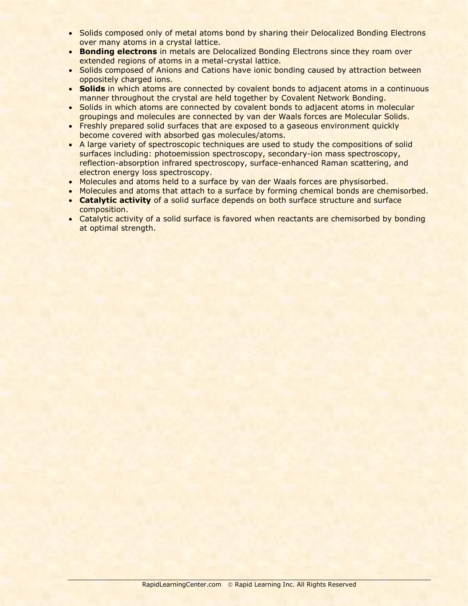- Solids composed only of metal atoms bond by sharing their Delocalized Bonding Electrons over many atoms in a crystal lattice.
- **Bonding electrons** in metals are Delocalized Bonding Electrons since they roam over extended regions of atoms in a metal-crystal lattice.
- Solids composed of Anions and Cations have ionic bonding caused by attraction between oppositely charged ions.
- **Solids** in which atoms are connected by covalent bonds to adjacent atoms in a continuous manner throughout the crystal are held together by Covalent Network Bonding.
- Solids in which atoms are connected by covalent bonds to adjacent atoms in molecular groupings and molecules are connected by van der Waals forces are Molecular Solids.
- Freshly prepared solid surfaces that are exposed to a gaseous environment quickly become covered with absorbed gas molecules/atoms.
- A large variety of spectroscopic techniques are used to study the compositions of solid surfaces including: photoemission spectroscopy, secondary-ion mass spectroscopy, reflection-absorption infrared spectroscopy, surface-enhanced Raman scattering, and electron energy loss spectroscopy.
- Molecules and atoms held to a surface by van der Waals forces are physisorbed.
- Molecules and atoms that attach to a surface by forming chemical bonds are chemisorbed.
- **Catalytic activity** of a solid surface depends on both surface structure and surface composition.
- Catalytic activity of a solid surface is favored when reactants are chemisorbed by bonding at optimal strength.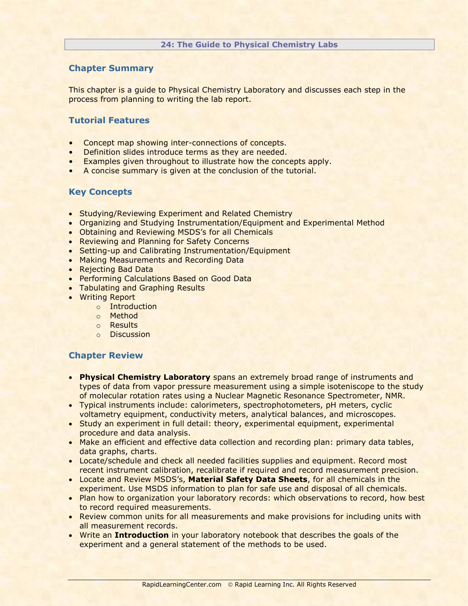This chapter is a guide to Physical Chemistry Laboratory and discusses each step in the process from planning to writing the lab report.

# **Tutorial Features**

- Concept map showing inter-connections of concepts.
- Definition slides introduce terms as they are needed.
- Examples given throughout to illustrate how the concepts apply.
- A concise summary is given at the conclusion of the tutorial.

# **Key Concepts**

- Studying/Reviewing Experiment and Related Chemistry
- Organizing and Studying Instrumentation/Equipment and Experimental Method
- Obtaining and Reviewing MSDS's for all Chemicals
- Reviewing and Planning for Safety Concerns
- Setting-up and Calibrating Instrumentation/Equipment
- **Making Measurements and Recording Data**
- Rejecting Bad Data
- **Performing Calculations Based on Good Data**
- Tabulating and Graphing Results
- Writing Report
	- o Introduction
	- o Method
	- o Results
	- o Discussion

- **Physical Chemistry Laboratory** spans an extremely broad range of instruments and types of data from vapor pressure measurement using a simple isoteniscope to the study of molecular rotation rates using a Nuclear Magnetic Resonance Spectrometer, NMR.
- Typical instruments include: calorimeters, spectrophotometers, pH meters, cyclic voltametry equipment, conductivity meters, analytical balances, and microscopes.
- Study an experiment in full detail: theory, experimental equipment, experimental procedure and data analysis.
- Make an efficient and effective data collection and recording plan: primary data tables, data graphs, charts.
- Locate/schedule and check all needed facilities supplies and equipment. Record most recent instrument calibration, recalibrate if required and record measurement precision.
- Locate and Review MSDS's, **Material Safety Data Sheets**, for all chemicals in the experiment. Use MSDS information to plan for safe use and disposal of all chemicals.
- Plan how to organization your laboratory records: which observations to record, how best to record required measurements.
- Review common units for all measurements and make provisions for including units with all measurement records.
- Write an **Introduction** in your laboratory notebook that describes the goals of the experiment and a general statement of the methods to be used.